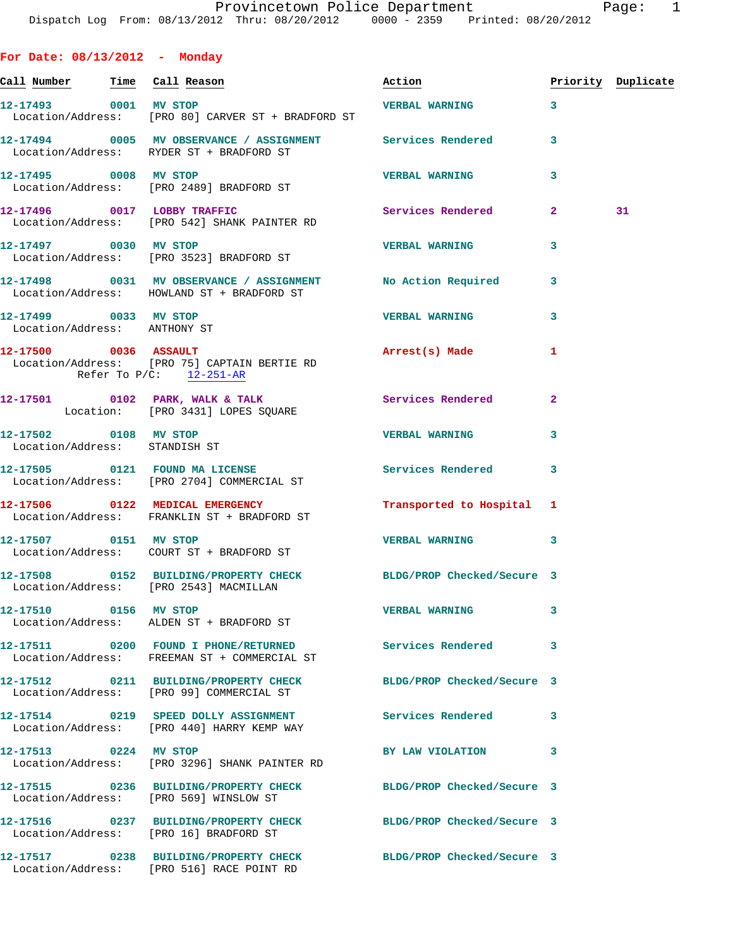|  |  | For Date: 08/13/2012 |  | Monday |
|--|--|----------------------|--|--------|
|--|--|----------------------|--|--------|

|                                                        |                                                                                                            | Action                     | Priority Duplicate |    |
|--------------------------------------------------------|------------------------------------------------------------------------------------------------------------|----------------------------|--------------------|----|
| 12-17493 0001 MV STOP                                  | Location/Address: [PRO 80] CARVER ST + BRADFORD ST                                                         | <b>VERBAL WARNING</b>      | 3                  |    |
|                                                        | 12-17494 0005 MV OBSERVANCE / ASSIGNMENT Services Rendered<br>Location/Address: RYDER ST + BRADFORD ST     |                            | 3                  |    |
|                                                        | 12-17495 0008 MV STOP<br>Location/Address: [PRO 2489] BRADFORD ST                                          | <b>VERBAL WARNING</b>      | 3                  |    |
|                                                        | 12-17496 0017 LOBBY TRAFFIC<br>Location/Address: [PRO 542] SHANK PAINTER RD                                | Services Rendered          | $\mathbf{2}$       | 31 |
|                                                        | 12-17497 0030 MV STOP<br>Location/Address: [PRO 3523] BRADFORD ST                                          | <b>VERBAL WARNING</b>      | 3                  |    |
|                                                        | 12-17498 0031 MV OBSERVANCE / ASSIGNMENT No Action Required<br>Location/Address: HOWLAND ST + BRADFORD ST  |                            | 3                  |    |
| 12-17499 0033 MV STOP<br>Location/Address: ANTHONY ST  |                                                                                                            | <b>VERBAL WARNING</b>      | 3                  |    |
|                                                        | 12-17500 0036 ASSAULT<br>Location/Address: [PRO 75] CAPTAIN BERTIE RD<br>Refer To $P/C:$ 12-251-AR         | Arrest(s) Made             | 1                  |    |
|                                                        | 12-17501 0102 PARK, WALK & TALK Services Rendered<br>Location: [PRO 3431] LOPES SQUARE                     |                            | $\mathbf{2}$       |    |
| 12-17502 0108 MV STOP<br>Location/Address: STANDISH ST |                                                                                                            | <b>VERBAL WARNING</b>      | 3                  |    |
|                                                        | 12-17505 0121 FOUND MA LICENSE<br>Location/Address: [PRO 2704] COMMERCIAL ST                               | Services Rendered          | 3                  |    |
|                                                        | 12-17506 0122 MEDICAL EMERGENCY<br>Location/Address: FRANKLIN ST + BRADFORD ST                             | Transported to Hospital 1  |                    |    |
| 12-17507 0151 MV STOP                                  |                                                                                                            | <b>VERBAL WARNING</b>      | 3                  |    |
|                                                        | 12-17508 0152 BUILDING/PROPERTY CHECK BLDG/PROP Checked/Secure 3<br>Location/Address: [PRO 2543] MACMILLAN |                            |                    |    |
| 12-17510 0156 MV STOP                                  | Location/Address: ALDEN ST + BRADFORD ST                                                                   | <b>VERBAL WARNING</b>      |                    |    |
|                                                        | 12-17511 0200 FOUND I PHONE/RETURNED Services Rendered<br>Location/Address: FREEMAN ST + COMMERCIAL ST     |                            | 3                  |    |
|                                                        | 12-17512 0211 BUILDING/PROPERTY CHECK<br>Location/Address: [PRO 99] COMMERCIAL ST                          | BLDG/PROP Checked/Secure 3 |                    |    |
|                                                        | 12-17514 0219 SPEED DOLLY ASSIGNMENT Services Rendered<br>Location/Address: [PRO 440] HARRY KEMP WAY       |                            | 3                  |    |
| 12-17513 0224 MV STOP                                  | Location/Address: [PRO 3296] SHANK PAINTER RD                                                              | BY LAW VIOLATION           | 3                  |    |
|                                                        | 12-17515 0236 BUILDING/PROPERTY CHECK BLDG/PROP Checked/Secure 3<br>Location/Address: [PRO 569] WINSLOW ST |                            |                    |    |
|                                                        | 12-17516 0237 BUILDING/PROPERTY CHECK BLDG/PROP Checked/Secure 3<br>Location/Address: [PRO 16] BRADFORD ST |                            |                    |    |
|                                                        | 12-17517 0238 BUILDING/PROPERTY CHECK<br>Location/Address: [PRO 516] RACE POINT RD                         | BLDG/PROP Checked/Secure 3 |                    |    |
|                                                        |                                                                                                            |                            |                    |    |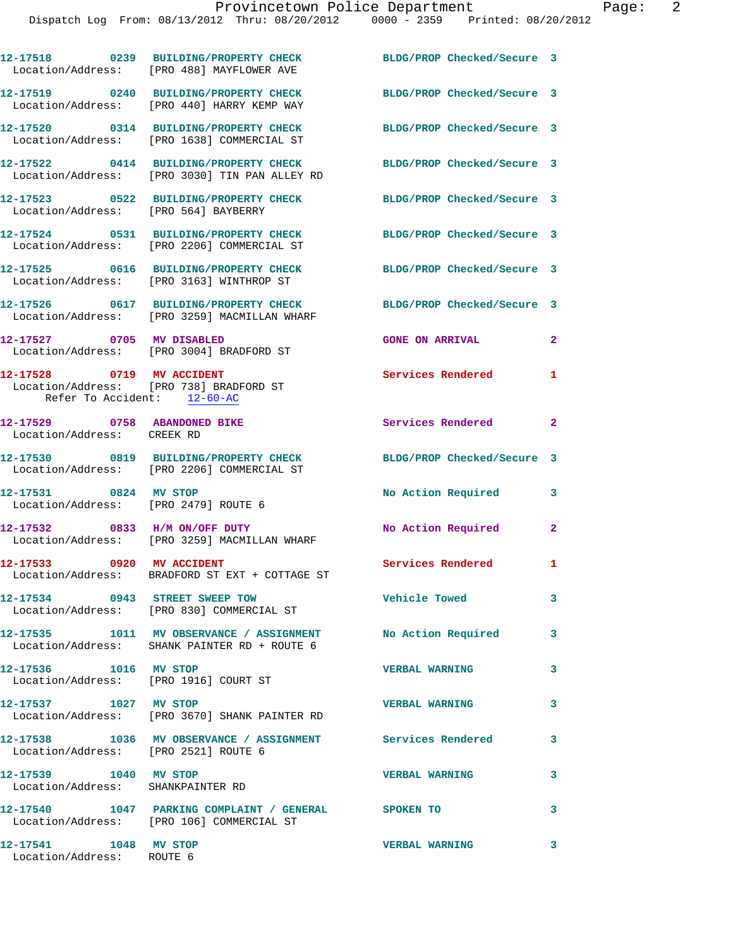|                                                                                                     | 12-17518 0239 BUILDING/PROPERTY CHECK<br>Location/Address: [PRO 488] MAYFLOWER AVE                          | BLDG/PROP Checked/Secure 3 |              |
|-----------------------------------------------------------------------------------------------------|-------------------------------------------------------------------------------------------------------------|----------------------------|--------------|
|                                                                                                     | 12-17519 0240 BUILDING/PROPERTY CHECK<br>Location/Address: [PRO 440] HARRY KEMP WAY                         | BLDG/PROP Checked/Secure 3 |              |
|                                                                                                     | 12-17520 0314 BUILDING/PROPERTY CHECK<br>Location/Address: [PRO 1638] COMMERCIAL ST                         | BLDG/PROP Checked/Secure 3 |              |
|                                                                                                     | 12-17522 0414 BUILDING/PROPERTY CHECK<br>Location/Address: [PRO 3030] TIN PAN ALLEY RD                      | BLDG/PROP Checked/Secure 3 |              |
| Location/Address: [PRO 564] BAYBERRY                                                                | 12-17523 0522 BUILDING/PROPERTY CHECK                                                                       | BLDG/PROP Checked/Secure 3 |              |
|                                                                                                     | 12-17524 0531 BUILDING/PROPERTY CHECK<br>Location/Address: [PRO 2206] COMMERCIAL ST                         | BLDG/PROP Checked/Secure 3 |              |
|                                                                                                     | 12-17525 0616 BUILDING/PROPERTY CHECK<br>Location/Address: [PRO 3163] WINTHROP ST                           | BLDG/PROP Checked/Secure 3 |              |
|                                                                                                     | 12-17526 0617 BUILDING/PROPERTY CHECK<br>Location/Address: [PRO 3259] MACMILLAN WHARF                       | BLDG/PROP Checked/Secure 3 |              |
| 12-17527 0705 MV DISABLED                                                                           | Location/Address: [PRO 3004] BRADFORD ST                                                                    | <b>GONE ON ARRIVAL</b>     | $\mathbf{2}$ |
| 12-17528 0719 MV ACCIDENT<br>Location/Address: [PRO 738] BRADFORD ST<br>Refer To Accident: 12-60-AC |                                                                                                             | Services Rendered          | 1            |
| 12-17529 0758 ABANDONED BIKE<br>Location/Address: CREEK RD                                          |                                                                                                             | Services Rendered          | $\mathbf{2}$ |
|                                                                                                     | 12-17530 0819 BUILDING/PROPERTY CHECK<br>Location/Address: [PRO 2206] COMMERCIAL ST                         | BLDG/PROP Checked/Secure 3 |              |
| 12-17531 0824 MV STOP<br>Location/Address: [PRO 2479] ROUTE 6                                       |                                                                                                             | No Action Required         | 3            |
| 12-17532 0833 H/M ON/OFF DUTY                                                                       | Location/Address: [PRO 3259] MACMILLAN WHARF                                                                | No Action Required         | $\mathbf{2}$ |
|                                                                                                     | 12-17533 0920 MV ACCIDENT<br>Location/Address: BRADFORD ST EXT + COTTAGE ST                                 | Services Rendered 1        |              |
|                                                                                                     | 12-17534 0943 STREET SWEEP TOW<br>Location/Address: [PRO 830] COMMERCIAL ST                                 | Vehicle Towed              | 3            |
|                                                                                                     | 12-17535 1011 MV OBSERVANCE / ASSIGNMENT No Action Required<br>Location/Address: SHANK PAINTER RD + ROUTE 6 |                            | 3            |
| 12-17536 1016 MV STOP                                                                               | Location/Address: [PRO 1916] COURT ST                                                                       | <b>VERBAL WARNING</b>      | 3            |
| 12-17537 1027 MV STOP                                                                               | Location/Address: [PRO 3670] SHANK PAINTER RD                                                               | <b>VERBAL WARNING</b>      | 3            |
| Location/Address: [PRO 2521] ROUTE 6                                                                | 12-17538 1036 MV OBSERVANCE / ASSIGNMENT Services Rendered                                                  |                            | 3            |
| 12-17539 1040 MV STOP<br>Location/Address: SHANKPAINTER RD                                          |                                                                                                             | <b>VERBAL WARNING</b>      | 3            |
|                                                                                                     | 12-17540 1047 PARKING COMPLAINT / GENERAL SPOKEN TO<br>Location/Address: [PRO 106] COMMERCIAL ST            |                            | 3            |
| 12-17541 1048 MV STOP<br>Location/Address: ROUTE 6                                                  |                                                                                                             | <b>VERBAL WARNING</b>      | 3            |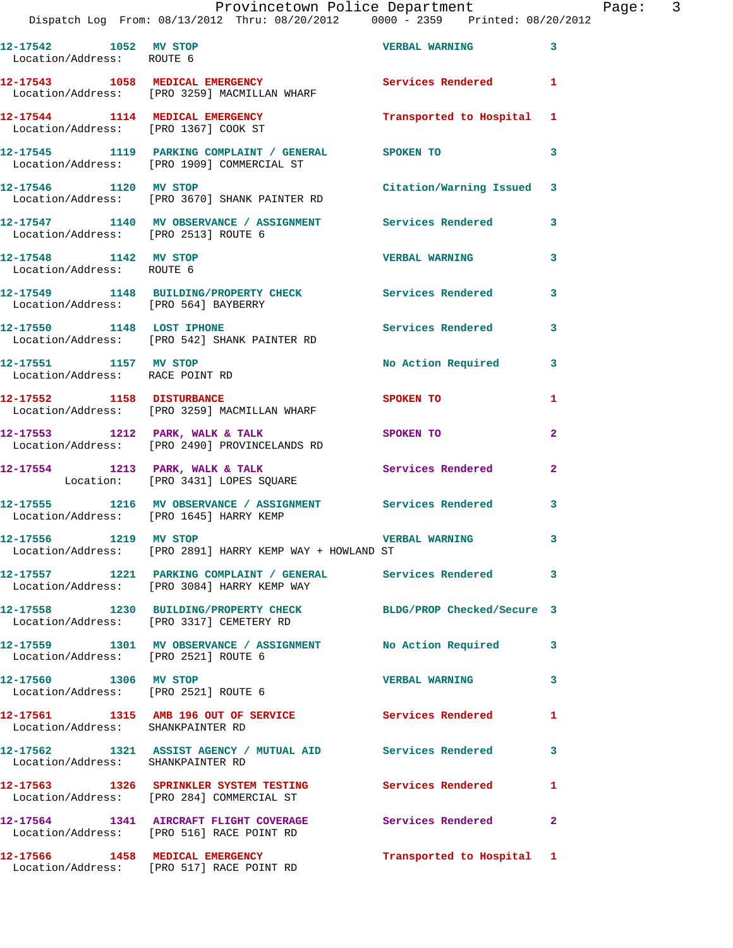## Provincetown Police Department Fage: 3

|                                                          | Dispatch Log From: 08/13/2012 Thru: 08/20/2012 0000 - 2359 Printed: 08/20/2012                               |                           |              |
|----------------------------------------------------------|--------------------------------------------------------------------------------------------------------------|---------------------------|--------------|
| 12-17542 1052 MV STOP<br>Location/Address: ROUTE 6       |                                                                                                              | <b>VERBAL WARNING</b>     | 3            |
|                                                          | 12-17543 1058 MEDICAL EMERGENCY Services Rendered<br>Location/Address: [PRO 3259] MACMILLAN WHARF            |                           | 1            |
|                                                          | 12-17544 1114 MEDICAL EMERGENCY<br>Location/Address: [PRO 1367] COOK ST                                      | Transported to Hospital 1 |              |
|                                                          | 12-17545 1119 PARKING COMPLAINT / GENERAL SPOKEN TO<br>Location/Address: [PRO 1909] COMMERCIAL ST            |                           | 3            |
| 12-17546 1120 MV STOP                                    | Location/Address: [PRO 3670] SHANK PAINTER RD                                                                | Citation/Warning Issued   | 3            |
| Location/Address: [PRO 2513] ROUTE 6                     | 12-17547 1140 MV OBSERVANCE / ASSIGNMENT Services Rendered                                                   |                           | 3            |
| 12-17548 1142 MV STOP<br>Location/Address: ROUTE 6       |                                                                                                              | <b>VERBAL WARNING</b>     | 3            |
|                                                          | 12-17549 1148 BUILDING/PROPERTY CHECK Services Rendered<br>Location/Address: [PRO 564] BAYBERRY              |                           | 3            |
| 12-17550 1148 LOST IPHONE                                | Location/Address: [PRO 542] SHANK PAINTER RD                                                                 | Services Rendered         | 3            |
| 12-17551 1157 MV STOP<br>Location/Address: RACE POINT RD |                                                                                                              | No Action Required        | 3            |
| 12-17552 1158 DISTURBANCE                                | Location/Address: [PRO 3259] MACMILLAN WHARF                                                                 | SPOKEN TO                 | 1            |
|                                                          | 12-17553 1212 PARK, WALK & TALK<br>Location/Address: [PRO 2490] PROVINCELANDS RD                             | SPOKEN TO                 | $\mathbf{2}$ |
|                                                          | 12-17554 1213 PARK, WALK & TALK<br>Location: [PRO 3431] LOPES SQUARE                                         | <b>Services Rendered</b>  | $\mathbf{2}$ |
|                                                          | 12-17555 1216 MV OBSERVANCE / ASSIGNMENT Services Rendered<br>Location/Address: [PRO 1645] HARRY KEMP        |                           | 3            |
| 12-17556 1219 MV STOP                                    | Location/Address: [PRO 2891] HARRY KEMP WAY + HOWLAND ST                                                     | <b>VERBAL WARNING</b>     | 3            |
|                                                          | 12-17557 1221 PARKING COMPLAINT / GENERAL Services Rendered<br>Location/Address: [PRO 3084] HARRY KEMP WAY   |                           | 3            |
|                                                          | 12-17558 1230 BUILDING/PROPERTY CHECK BLDG/PROP Checked/Secure 3<br>Location/Address: [PRO 3317] CEMETERY RD |                           |              |
| Location/Address: [PRO 2521] ROUTE 6                     | 12-17559 1301 MV OBSERVANCE / ASSIGNMENT No Action Required                                                  |                           | 3            |
| 12-17560 1306 MV STOP                                    | Location/Address: [PRO 2521] ROUTE 6                                                                         | <b>VERBAL WARNING</b>     | 3            |
| Location/Address: SHANKPAINTER RD                        | 12-17561 1315 AMB 196 OUT OF SERVICE Services Rendered                                                       |                           | 1            |
| Location/Address: SHANKPAINTER RD                        | 12-17562 1321 ASSIST AGENCY / MUTUAL AID Services Rendered                                                   |                           | 3            |
|                                                          | 12-17563 1326 SPRINKLER SYSTEM TESTING Services Rendered<br>Location/Address: [PRO 284] COMMERCIAL ST        |                           | 1            |
|                                                          | 12-17564 1341 AIRCRAFT FLIGHT COVERAGE Services Rendered<br>Location/Address: [PRO 516] RACE POINT RD        |                           | 2            |
|                                                          | 12-17566 1458 MEDICAL EMERGENCY<br>Location/Address: [PRO 517] RACE POINT RD                                 | Transported to Hospital 1 |              |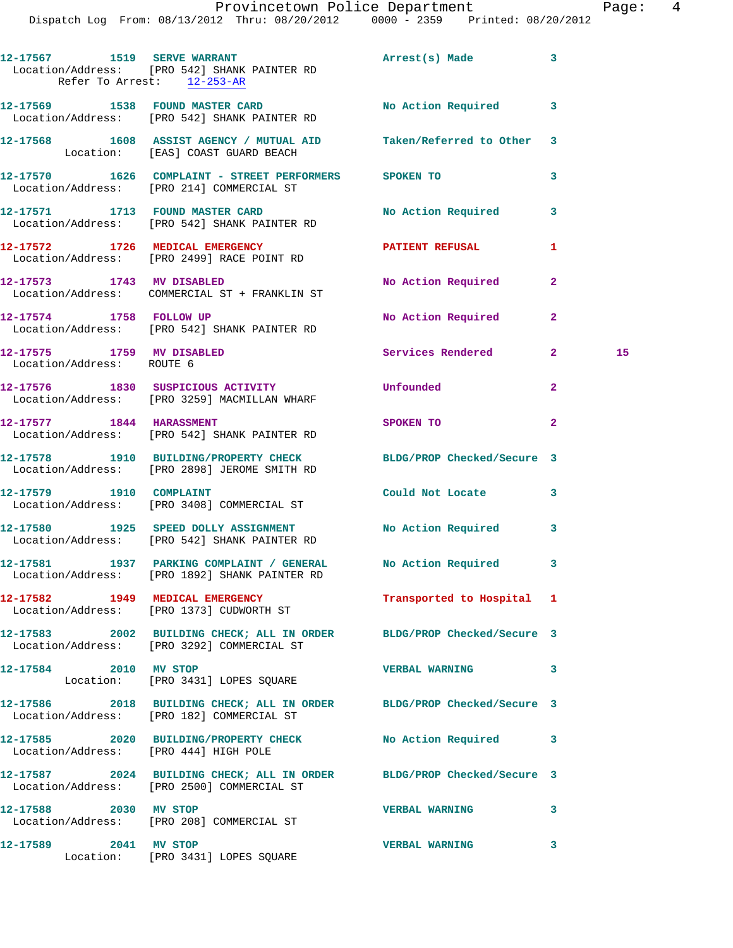|                                                        | Dispatch Log From: 08/13/2012 Thru: 08/20/2012 0000 - 2359 Printed: 08/20/2012                                      | Provincetown Police Department |              | Page: 4 |  |
|--------------------------------------------------------|---------------------------------------------------------------------------------------------------------------------|--------------------------------|--------------|---------|--|
|                                                        | 12-17567 1519 SERVE WARRANT<br>Location/Address: [PRO 542] SHANK PAINTER RD<br>Refer To Arrest: $12-253-AR$         | Arrest(s) Made 3               |              |         |  |
|                                                        | 12-17569 1538 FOUND MASTER CARD<br>Location/Address: [PRO 542] SHANK PAINTER RD                                     | No Action Required 3           |              |         |  |
|                                                        | 12-17568 1608 ASSIST AGENCY / MUTUAL AID Taken/Referred to Other 3<br>Location: [EAS] COAST GUARD BEACH             |                                |              |         |  |
|                                                        | 12-17570 1626 COMPLAINT - STREET PERFORMERS SPOKEN TO<br>Location/Address: [PRO 214] COMMERCIAL ST                  |                                | 3            |         |  |
|                                                        | 12-17571 1713 FOUND MASTER CARD<br>Location/Address: [PRO 542] SHANK PAINTER RD                                     | No Action Required 3           |              |         |  |
|                                                        | 12-17572 1726 MEDICAL EMERGENCY<br>Location/Address: [PRO 2499] RACE POINT RD                                       | PATIENT REFUSAL                | 1            |         |  |
| 12-17573 1743 MV DISABLED                              | Location/Address: COMMERCIAL ST + FRANKLIN ST                                                                       | No Action Required             | $\mathbf{2}$ |         |  |
|                                                        | 12-17574 1758 FOLLOW UP<br>Location/Address: [PRO 542] SHANK PAINTER RD                                             | No Action Required 2           |              |         |  |
| 12-17575 1759 MV DISABLED<br>Location/Address: ROUTE 6 |                                                                                                                     | Services Rendered              | $2^{\circ}$  | 15      |  |
|                                                        | 12-17576 1830 SUSPICIOUS ACTIVITY<br>Location/Address: [PRO 3259] MACMILLAN WHARF                                   | Unfounded                      | $\mathbf{2}$ |         |  |
| 12-17577 1844 HARASSMENT                               | Location/Address: [PRO 542] SHANK PAINTER RD                                                                        | SPOKEN TO                      | $\mathbf{2}$ |         |  |
|                                                        | 12-17578 1910 BUILDING/PROPERTY CHECK BLDG/PROP Checked/Secure 3<br>Location/Address: [PRO 2898] JEROME SMITH RD    |                                |              |         |  |
| 12-17579 1910 COMPLAINT                                | Location/Address: [PRO 3408] COMMERCIAL ST                                                                          | Could Not Locate               | 3            |         |  |
|                                                        | 12-17580 1925 SPEED DOLLY ASSIGNMENT No Action Required 3<br>Location/Address: [PRO 542] SHANK PAINTER RD           |                                |              |         |  |
|                                                        | 12-17581 1937 PARKING COMPLAINT / GENERAL No Action Required 3<br>Location/Address: [PRO 1892] SHANK PAINTER RD     |                                |              |         |  |
|                                                        | 12-17582 1949 MEDICAL EMERGENCY<br>Location/Address: [PRO 1373] CUDWORTH ST                                         | Transported to Hospital 1      |              |         |  |
|                                                        | 12-17583 2002 BUILDING CHECK; ALL IN ORDER BLDG/PROP Checked/Secure 3<br>Location/Address: [PRO 3292] COMMERCIAL ST |                                |              |         |  |
|                                                        | 12-17584 2010 MV STOP<br>Location: [PRO 3431] LOPES SQUARE                                                          | VERBAL WARNING 3               |              |         |  |
|                                                        | 12-17586 2018 BUILDING CHECK; ALL IN ORDER BLDG/PROP Checked/Secure 3<br>Location/Address: [PRO 182] COMMERCIAL ST  |                                |              |         |  |
| Location/Address: [PRO 444] HIGH POLE                  | 12-17585 2020 BUILDING/PROPERTY CHECK No Action Required 3                                                          |                                |              |         |  |
|                                                        | 12-17587 2024 BUILDING CHECK; ALL IN ORDER BLDG/PROP Checked/Secure 3<br>Location/Address: [PRO 2500] COMMERCIAL ST |                                |              |         |  |
| 12-17588 2030 MV STOP                                  | Location/Address: [PRO 208] COMMERCIAL ST                                                                           | VERBAL WARNING 3               |              |         |  |
|                                                        |                                                                                                                     |                                |              |         |  |

**12-17589 2041 MV STOP VERBAL WARNING 3**  Location: [PRO 3431] LOPES SQUARE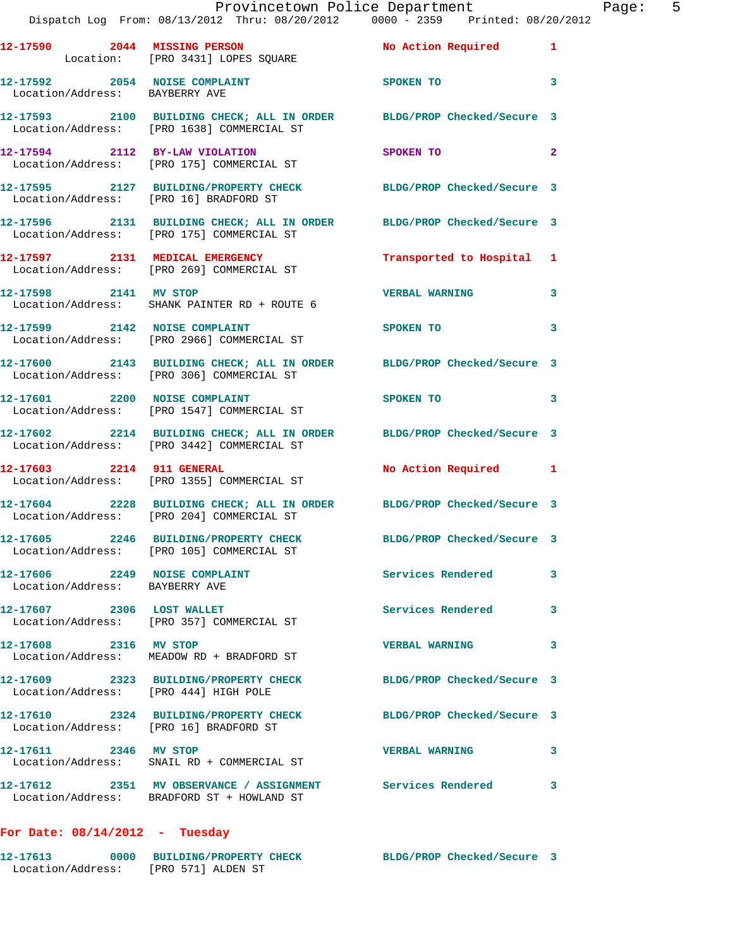|                                                                 | Provincetown Police Department The Page: 5<br>Dispatch Log From: 08/13/2012 Thru: 08/20/2012   0000 - 2359   Printed: 08/20/2012 |                            |              |
|-----------------------------------------------------------------|----------------------------------------------------------------------------------------------------------------------------------|----------------------------|--------------|
|                                                                 | 12-17590  2044   MISSING PERSON   No Action Required   1<br>Location: [PRO 3431] LOPES SQUARE                                    |                            |              |
| Location/Address: BAYBERRY AVE                                  | 12-17592 2054 NOISE COMPLAINT SPOKEN TO 3                                                                                        |                            |              |
|                                                                 | 12-17593 2100 BUILDING CHECK; ALL IN ORDER BLDG/PROP Checked/Secure 3<br>Location/Address: [PRO 1638] COMMERCIAL ST              |                            |              |
|                                                                 | 12-17594 2112 BY-LAW VIOLATION SPOKEN TO<br>Location/Address: [PRO 175] COMMERCIAL ST                                            |                            | $\mathbf{2}$ |
|                                                                 | 12-17595 2127 BUILDING/PROPERTY CHECK BLDG/PROP Checked/Secure 3<br>Location/Address: [PRO 16] BRADFORD ST                       |                            |              |
|                                                                 | 12-17596 2131 BUILDING CHECK; ALL IN ORDER BLDG/PROP Checked/Secure 3<br>Location/Address: [PRO 175] COMMERCIAL ST               |                            |              |
|                                                                 | 12-17597 2131 MEDICAL EMERGENCY Transported to Hospital 1<br>Location/Address: [PRO 269] COMMERCIAL ST                           |                            |              |
|                                                                 | 12-17598 2141 MV STOP<br>Location/Address: SHANK PAINTER RD + ROUTE 6                                                            | <b>VERBAL WARNING</b>      | 3            |
|                                                                 | 12-17599 2142 NOISE COMPLAINT<br>Location/Address: [PRO 2966] COMMERCIAL ST                                                      | SPOKEN TO 3                |              |
|                                                                 | 12-17600 2143 BUILDING CHECK; ALL IN ORDER BLDG/PROP Checked/Secure 3<br>Location/Address: [PRO 306] COMMERCIAL ST               |                            |              |
|                                                                 | 12-17601 2200 NOISE COMPLAINT SPOKEN TO 3<br>Location/Address: [PRO 1547] COMMERCIAL ST                                          |                            |              |
|                                                                 | 12-17602 2214 BUILDING CHECK; ALL IN ORDER BLDG/PROP Checked/Secure 3<br>Location/Address: [PRO 3442] COMMERCIAL ST              |                            |              |
| 12-17603 2214 911 GENERAL                                       | Location/Address: [PRO 1355] COMMERCIAL ST                                                                                       | No Action Required 1       |              |
|                                                                 | 12-17604 2228 BUILDING CHECK; ALL IN ORDER BLDG/PROP Checked/Secure 3<br>Location/Address: [PRO 204] COMMERCIAL ST               |                            |              |
|                                                                 | 12-17605 2246 BUILDING/PROPERTY CHECK<br>Location/Address: [PRO 105] COMMERCIAL ST                                               | BLDG/PROP Checked/Secure 3 |              |
| 12-17606 2249 NOISE COMPLAINT<br>Location/Address: BAYBERRY AVE |                                                                                                                                  | Services Rendered          | 3            |
| 12-17607 2306 LOST WALLET                                       | Location/Address: [PRO 357] COMMERCIAL ST                                                                                        | Services Rendered          | 3            |
| 12-17608 2316 MV STOP                                           | Location/Address: MEADOW RD + BRADFORD ST                                                                                        | <b>VERBAL WARNING</b>      | 3            |
| Location/Address: [PRO 444] HIGH POLE                           | 12-17609 2323 BUILDING/PROPERTY CHECK                                                                                            | BLDG/PROP Checked/Secure 3 |              |
| Location/Address: [PRO 16] BRADFORD ST                          | 12-17610 2324 BUILDING/PROPERTY CHECK                                                                                            | BLDG/PROP Checked/Secure 3 |              |
| 12-17611 2346 MV STOP                                           | Location/Address: SNAIL RD + COMMERCIAL ST                                                                                       | <b>VERBAL WARNING</b>      | 3            |
|                                                                 | 12-17612 2351 MV OBSERVANCE / ASSIGNMENT Services Rendered<br>Location/Address: BRADFORD ST + HOWLAND ST                         |                            | 3            |

## **For Date: 08/14/2012 - Tuesday**

| 12–17613          | 0000 BUILDING/PROPERTY CHECK | BLDG/PROP Checked/Secure 3 |  |
|-------------------|------------------------------|----------------------------|--|
| Location/Address: | FPRO 5711 ALDEN ST           |                            |  |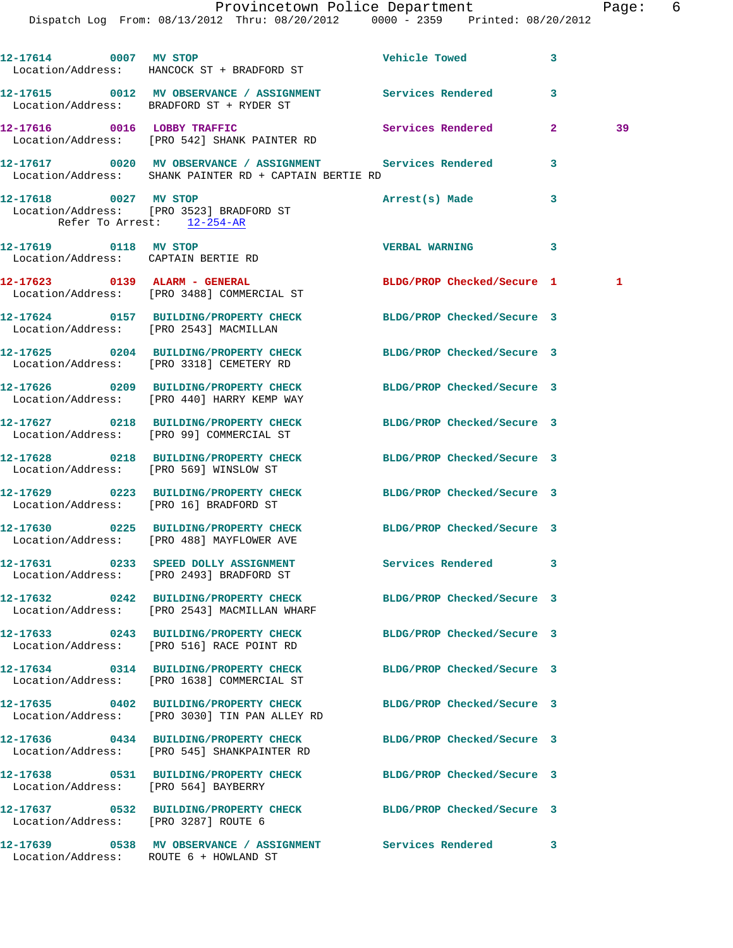|                                                     | Dispatch Log From: 08/13/2012 Thru: 08/20/2012 0000 - 2359 Printed: 08/20/2012                                       |                            |              |              |
|-----------------------------------------------------|----------------------------------------------------------------------------------------------------------------------|----------------------------|--------------|--------------|
| 12-17614 0007 MV STOP                               | Location/Address: HANCOCK ST + BRADFORD ST                                                                           | <b>Vehicle Towed</b>       | 3            |              |
|                                                     | 12-17615 0012 MV OBSERVANCE / ASSIGNMENT Services Rendered<br>Location/Address: BRADFORD ST + RYDER ST               |                            | 3            |              |
|                                                     | 12-17616 0016 LOBBY TRAFFIC<br>Location/Address: [PRO 542] SHANK PAINTER RD                                          | Services Rendered          | $\mathbf{2}$ | 39           |
|                                                     | 12-17617 0020 MV OBSERVANCE / ASSIGNMENT Services Rendered<br>Location/Address: SHANK PAINTER RD + CAPTAIN BERTIE RD |                            | 3            |              |
| 12-17618 0027 MV STOP<br>Refer To Arrest: 12-254-AR | Location/Address: [PRO 3523] BRADFORD ST                                                                             | Arrest(s) Made             | 3            |              |
| 12-17619 0118 MV STOP                               | Location/Address: CAPTAIN BERTIE RD                                                                                  | <b>VERBAL WARNING</b>      | 3            |              |
|                                                     | 12-17623 0139 ALARM - GENERAL<br>Location/Address: [PRO 3488] COMMERCIAL ST                                          | BLDG/PROP Checked/Secure 1 |              | $\mathbf{1}$ |
|                                                     | 12-17624 0157 BUILDING/PROPERTY CHECK<br>Location/Address: [PRO 2543] MACMILLAN                                      | BLDG/PROP Checked/Secure 3 |              |              |
|                                                     | 12-17625 0204 BUILDING/PROPERTY CHECK<br>Location/Address: [PRO 3318] CEMETERY RD                                    | BLDG/PROP Checked/Secure 3 |              |              |
|                                                     | 12-17626 0209 BUILDING/PROPERTY CHECK<br>Location/Address: [PRO 440] HARRY KEMP WAY                                  | BLDG/PROP Checked/Secure 3 |              |              |
|                                                     | 12-17627 0218 BUILDING/PROPERTY CHECK<br>Location/Address: [PRO 99] COMMERCIAL ST                                    | BLDG/PROP Checked/Secure 3 |              |              |
|                                                     | 12-17628 0218 BUILDING/PROPERTY CHECK<br>Location/Address: [PRO 569] WINSLOW ST                                      | BLDG/PROP Checked/Secure 3 |              |              |
|                                                     | 12-17629 0223 BUILDING/PROPERTY CHECK BLDG/PROP Checked/Secure 3<br>Location/Address: [PRO 16] BRADFORD ST           |                            |              |              |
|                                                     | 12-17630 0225 BUILDING/PROPERTY CHECK BLDG/PROP Checked/Secure 3<br>Location/Address: [PRO 488] MAYFLOWER AVE        |                            |              |              |
|                                                     | 12-17631 0233 SPEED DOLLY ASSIGNMENT<br>Location/Address: [PRO 2493] BRADFORD ST                                     | Services Rendered          | 3            |              |
|                                                     | 12-17632 0242 BUILDING/PROPERTY CHECK<br>Location/Address: [PRO 2543] MACMILLAN WHARF                                | BLDG/PROP Checked/Secure 3 |              |              |
|                                                     | 12-17633 0243 BUILDING/PROPERTY CHECK<br>Location/Address: [PRO 516] RACE POINT RD                                   | BLDG/PROP Checked/Secure 3 |              |              |
|                                                     | 12-17634 0314 BUILDING/PROPERTY CHECK<br>Location/Address: [PRO 1638] COMMERCIAL ST                                  | BLDG/PROP Checked/Secure 3 |              |              |
|                                                     | 12-17635 0402 BUILDING/PROPERTY CHECK<br>Location/Address: [PRO 3030] TIN PAN ALLEY RD                               | BLDG/PROP Checked/Secure 3 |              |              |
|                                                     | 12-17636 0434 BUILDING/PROPERTY CHECK<br>Location/Address: [PRO 545] SHANKPAINTER RD                                 | BLDG/PROP Checked/Secure 3 |              |              |
| Location/Address: [PRO 564] BAYBERRY                | 12-17638 0531 BUILDING/PROPERTY CHECK                                                                                | BLDG/PROP Checked/Secure 3 |              |              |
| Location/Address: [PRO 3287] ROUTE 6                | 12-17637 0532 BUILDING/PROPERTY CHECK BLDG/PROP Checked/Secure 3                                                     |                            |              |              |
|                                                     | 12-17639 0538 MV OBSERVANCE / ASSIGNMENT Services Rendered<br>Location/Address: ROUTE 6 + HOWLAND ST                 |                            | 3            |              |

Provincetown Police Department Fage: 6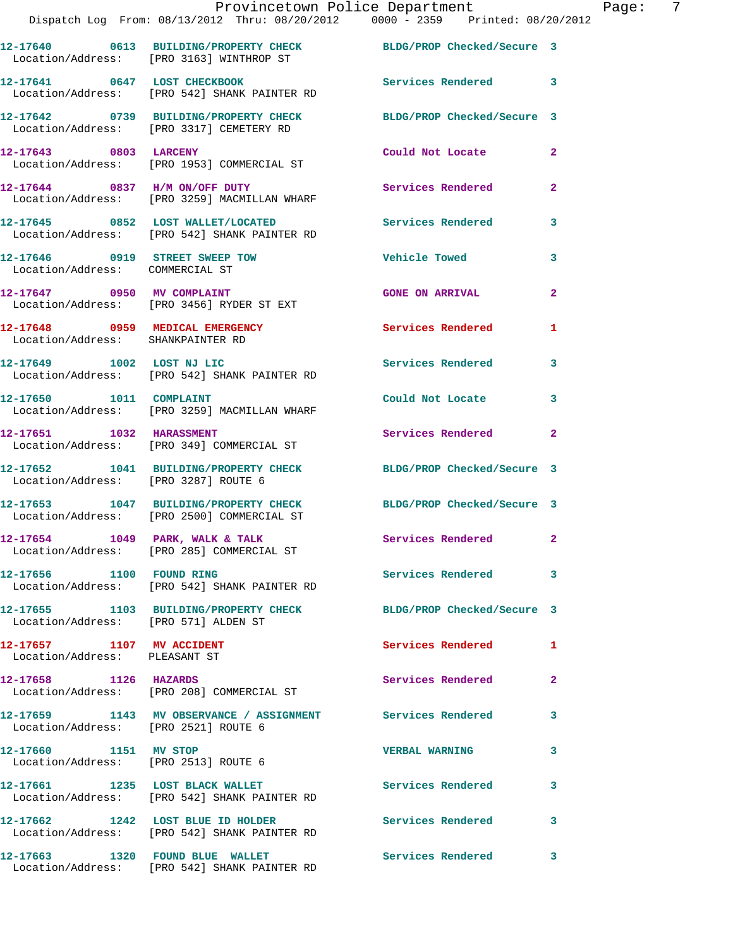|  | Provincetown Police Department<br>Dispatch Log From: 08/13/2012 Thru: 08/20/2012 0000 - 2359 Printed: 08/20/2012 |                          |                |
|--|------------------------------------------------------------------------------------------------------------------|--------------------------|----------------|
|  | 12-17640 0613 BUILDING/PROPERTY CHECK BLDG/PROP Checked/Secure 3<br>Location/Address: [PRO 3163] WINTHROP ST     |                          |                |
|  | 12-17641 0647 LOST CHECKBOOK<br>Location/Address: [PRO 542] SHANK PAINTER RD                                     | <b>Services Rendered</b> | 3              |
|  | 12-17642 0739 BUILDING/PROPERTY CHECK BLDG/PROP Checked/Secure 3<br>Location/Address: [PRO 3317] CEMETERY RD     |                          |                |
|  | 12-17643 0803 LARCENY<br>Location/Address: [PRO 1953] COMMERCIAL ST                                              | Could Not Locate         | $\overline{2}$ |
|  | Location/Address: [PRO 3259] MACMILLAN WHARF                                                                     |                          | $\mathbf{2}$   |
|  | 12-17645 0852 LOST WALLET/LOCATED Services Rendered<br>Location/Address: [PRO 542] SHANK PAINTER RD              |                          | 3              |
|  | 12-17646 0919 STREET SWEEP TOW<br>Location/Address: COMMERCIAL ST                                                | <b>Vehicle Towed</b>     | 3              |
|  | 12-17647 0950 MV COMPLAINT<br>Location/Address: [PRO 3456] RYDER ST EXT                                          | <b>GONE ON ARRIVAL</b>   | $\overline{2}$ |
|  | 12-17648 0959 MEDICAL EMERGENCY<br>Location/Address: SHANKPAINTER RD                                             | Services Rendered        | 1              |

Location/Address: [PRO 3287] ROUTE 6

Location/Address: [PRO 2500] COMMERCIAL ST

Location/Address: [PRO 542] SHANK PAINTER RD

**12-17655 1103 BUILDING/PROPERTY CHECK BLDG/PROP Checked/Secure 3**  Location/Address: [PRO 571] ALDEN ST

**12-17657 1107 MV ACCIDENT Services Rendered 1**  Location/Address: PLEASANT ST

Location/Address: [PRO 2521] ROUTE 6

**12-17660 1151 MV STOP VERBAL WARNING 3**  Location/Address: [PRO 2513] ROUTE 6

**12-17661 1235 LOST BLACK WALLET Services Rendered 3** 

**12-17662 1242 LOST BLUE ID HOLDER Services Rendered 3** 

**12-17649 1002 LOST NJ LIC Services Rendered 3**  Location/Address: [PRO 542] SHANK PAINTER RD

**12-17650 1011 COMPLAINT Could Not Locate 3**  Location/Address: [PRO 3259] MACMILLAN WHARF

**12-17651 1032 HARASSMENT Services Rendered 2**  Location/Address: [PRO 349] COMMERCIAL ST

**12-17652 1041 BUILDING/PROPERTY CHECK BLDG/PROP Checked/Secure 3** 

**12-17653 1047 BUILDING/PROPERTY CHECK BLDG/PROP Checked/Secure 3** 

12-17654 1049 PARK, WALK & TALK **Services Rendered** 2 Location/Address: [PRO 285] COMMERCIAL ST

**12-17656 1100 FOUND RING Services Rendered 3** 

**12-17658 1126 HAZARDS Services Rendered 2**  Location/Address: [PRO 208] COMMERCIAL ST

**12-17659 1143 MV OBSERVANCE / ASSIGNMENT Services Rendered 3** 

Location/Address: [PRO 542] SHANK PAINTER RD

Location/Address: [PRO 542] SHANK PAINTER RD

**12-17663 1320 FOUND BLUE WALLET Services Rendered 3**  Location/Address: [PRO 542] SHANK PAINTER RD

Page: 7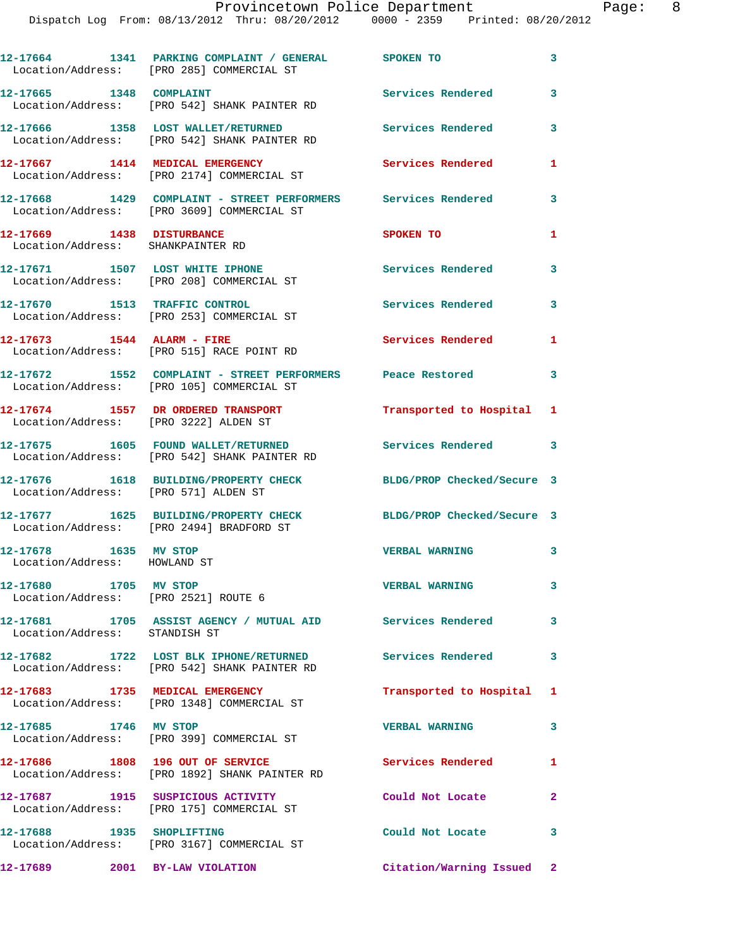|                                                                | 12-17664 1341 PARKING COMPLAINT / GENERAL SPOKEN TO<br>Location/Address: [PRO 285] COMMERCIAL ST            |                            | 3            |
|----------------------------------------------------------------|-------------------------------------------------------------------------------------------------------------|----------------------------|--------------|
| 12-17665 1348 COMPLAINT                                        | Location/Address: [PRO 542] SHANK PAINTER RD                                                                | Services Rendered          | 3            |
|                                                                | 12-17666 1358 LOST WALLET/RETURNED<br>Location/Address: [PRO 542] SHANK PAINTER RD                          | Services Rendered          | 3            |
|                                                                | 12-17667 1414 MEDICAL EMERGENCY<br>Location/Address: [PRO 2174] COMMERCIAL ST                               | Services Rendered          | 1            |
|                                                                | 12-17668 1429 COMPLAINT - STREET PERFORMERS Services Rendered<br>Location/Address: [PRO 3609] COMMERCIAL ST |                            | 3            |
| 12-17669 1438 DISTURBANCE<br>Location/Address: SHANKPAINTER RD |                                                                                                             | SPOKEN TO                  | 1            |
|                                                                | 12-17671 1507 LOST WHITE IPHONE<br>Location/Address: [PRO 208] COMMERCIAL ST                                | Services Rendered          | 3            |
|                                                                | 12-17670 1513 TRAFFIC CONTROL<br>Location/Address: [PRO 253] COMMERCIAL ST                                  | Services Rendered          | 3            |
| 12-17673 1544 ALARM - FIRE                                     | Location/Address: [PRO 515] RACE POINT RD                                                                   | Services Rendered          | 1            |
|                                                                | 12-17672 1552 COMPLAINT - STREET PERFORMERS Peace Restored<br>Location/Address: [PRO 105] COMMERCIAL ST     |                            | 3            |
| Location/Address: [PRO 3222] ALDEN ST                          | 12-17674 1557 DR ORDERED TRANSPORT                                                                          | Transported to Hospital 1  |              |
|                                                                | 12-17675 1605 FOUND WALLET/RETURNED<br>Location/Address: [PRO 542] SHANK PAINTER RD                         | Services Rendered 3        |              |
| Location/Address: [PRO 571] ALDEN ST                           | 12-17676 1618 BUILDING/PROPERTY CHECK                                                                       | BLDG/PROP Checked/Secure 3 |              |
|                                                                | 12-17677 1625 BUILDING/PROPERTY CHECK<br>Location/Address: [PRO 2494] BRADFORD ST                           | BLDG/PROP Checked/Secure 3 |              |
| 12-17678 1635 MV STOP<br>Location/Address: HOWLAND ST          |                                                                                                             | <b>VERBAL WARNING</b>      | 3            |
| 12-17680 1705 MV STOP<br>Location/Address: [PRO 2521] ROUTE 6  |                                                                                                             | <b>VERBAL WARNING</b>      | 3            |
| Location/Address: STANDISH ST                                  | 12-17681 1705 ASSIST AGENCY / MUTUAL AID Services Rendered                                                  |                            | $\sim$ 3     |
|                                                                | 12-17682 1722 LOST BLK IPHONE/RETURNED<br>Location/Address: [PRO 542] SHANK PAINTER RD                      | Services Rendered          | 3            |
| 12-17683 1735 MEDICAL EMERGENCY                                | Location/Address: [PRO 1348] COMMERCIAL ST                                                                  | Transported to Hospital 1  |              |
| 12-17685 1746 MV STOP                                          | Location/Address: [PRO 399] COMMERCIAL ST                                                                   | <b>VERBAL WARNING</b>      | 3            |
| 12-17686 1808 196 OUT OF SERVICE                               | Location/Address: [PRO 1892] SHANK PAINTER RD                                                               | Services Rendered          | $\mathbf{1}$ |
|                                                                | 12-17687 1915 SUSPICIOUS ACTIVITY<br>Location/Address: [PRO 175] COMMERCIAL ST                              | Could Not Locate           | $\mathbf{2}$ |
| 12-17688 1935 SHOPLIFTING                                      | Location/Address: [PRO 3167] COMMERCIAL ST                                                                  | Could Not Locate           | 3            |
| 12-17689 2001 BY-LAW VIOLATION                                 |                                                                                                             | Citation/Warning Issued 2  |              |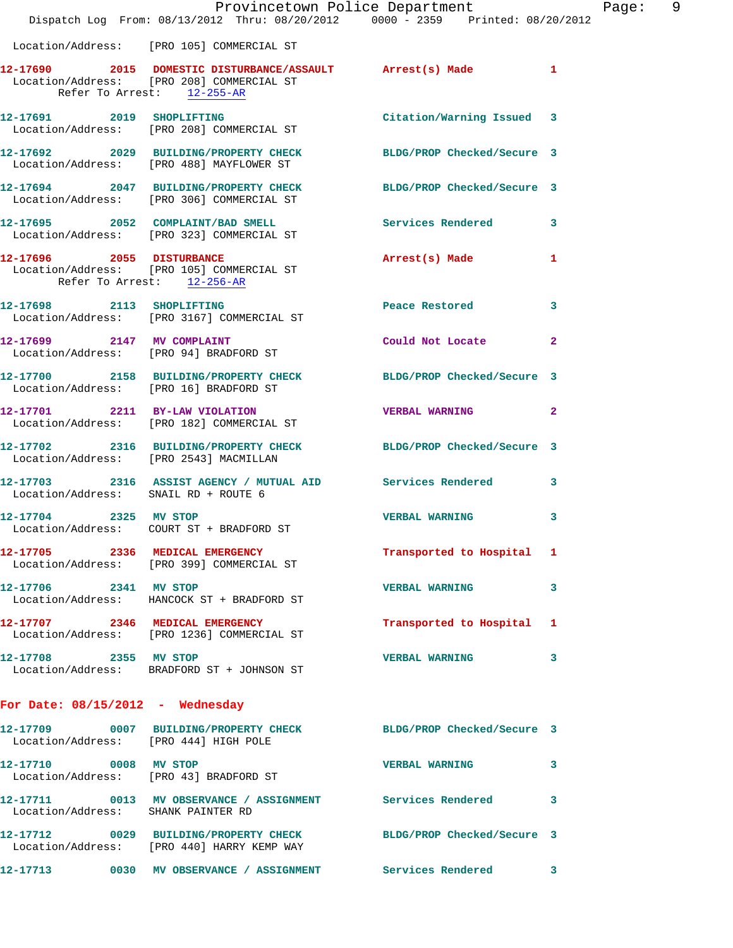|                                                                      | Provincetown Police Department<br>Dispatch Log From: 08/13/2012 Thru: 08/20/2012 0000 - 2359 Printed: 08/20/2012                       |                            |                |
|----------------------------------------------------------------------|----------------------------------------------------------------------------------------------------------------------------------------|----------------------------|----------------|
|                                                                      | Location/Address: [PRO 105] COMMERCIAL ST                                                                                              |                            |                |
|                                                                      | 12-17690 2015 DOMESTIC DISTURBANCE/ASSAULT Arrest(s) Made<br>Location/Address: [PRO 208] COMMERCIAL ST<br>Refer To Arrest: $12-255-AR$ |                            | 1              |
|                                                                      | 12-17691 2019 SHOPLIFTING<br>Location/Address: [PRO 208] COMMERCIAL ST                                                                 | Citation/Warning Issued    | 3              |
|                                                                      | 12-17692 2029 BUILDING/PROPERTY CHECK BLDG/PROP Checked/Secure 3<br>Location/Address: [PRO 488] MAYFLOWER ST                           |                            |                |
|                                                                      | 12-17694 2047 BUILDING/PROPERTY CHECK<br>Location/Address: [PRO 306] COMMERCIAL ST                                                     | BLDG/PROP Checked/Secure 3 |                |
|                                                                      | 12-17695 2052 COMPLAINT/BAD SMELL ST Services Rendered Location/Address: [PRO 323] COMMERCIAL ST                                       |                            | 3              |
| Refer To Arrest: 12-256-AR                                           | 12-17696 2055 DISTURBANCE<br>Location/Address: [PRO 105] COMMERCIAL ST                                                                 | Arrest(s) Made             | 1              |
|                                                                      | 12-17698 2113 SHOPLIFTING<br>Location/Address: [PRO 3167] COMMERCIAL ST                                                                | Peace Restored             | 3              |
| 12-17699 2147 MV COMPLAINT<br>Location/Address: [PRO 94] BRADFORD ST |                                                                                                                                        | Could Not Locate           | $\overline{a}$ |
| Location/Address: [PRO 16] BRADFORD ST                               | 12-17700 2158 BUILDING/PROPERTY CHECK BLDG/PROP Checked/Secure 3                                                                       |                            |                |
|                                                                      | 12-17701 2211 BY-LAW VIOLATION<br>Location/Address: [PRO 182] COMMERCIAL ST                                                            | <b>VERBAL WARNING</b>      | $\overline{a}$ |
|                                                                      | 12-17702 2316 BUILDING/PROPERTY CHECK BLDG/PROP Checked/Secure 3<br>Location/Address: [PRO 2543] MACMILLAN                             |                            |                |
| Location/Address: SNAIL RD + ROUTE 6                                 | 12-17703 2316 ASSIST AGENCY / MUTUAL AID Services Rendered                                                                             |                            | 3              |
|                                                                      | 12-17704 2325 MV STOP<br>Location/Address: COURT ST + BRADFORD ST                                                                      | <b>VERBAL WARNING</b>      | 3              |
|                                                                      | 12-17705 2336 MEDICAL EMERGENCY<br>Location/Address: [PRO 399] COMMERCIAL ST                                                           | Transported to Hospital 1  |                |
| 12-17706 2341 MV STOP                                                | Location/Address: HANCOCK ST + BRADFORD ST                                                                                             | <b>VERBAL WARNING</b>      | 3              |
|                                                                      | 12-17707 2346 MEDICAL EMERGENCY<br>Location/Address: [PRO 1236] COMMERCIAL ST                                                          | Transported to Hospital    | ı.             |
| 12-17708 2355 MV STOP                                                | Location/Address: BRADFORD ST + JOHNSON ST                                                                                             | <b>VERBAL WARNING</b>      | 3              |
| For Date: $08/15/2012$ - Wednesday                                   |                                                                                                                                        |                            |                |
| Location/Address: [PRO 444] HIGH POLE                                | 12-17709 0007 BUILDING/PROPERTY CHECK BLDG/PROP Checked/Secure 3                                                                       |                            |                |
| 12-17710 0008 MV STOP                                                | Location/Address: [PRO 43] BRADFORD ST                                                                                                 | <b>VERBAL WARNING</b>      | 3              |
| Location/Address: SHANK PAINTER RD                                   | 12-17711 0013 MV OBSERVANCE / ASSIGNMENT Services Rendered                                                                             |                            | 3              |
|                                                                      | 12-17712 0029 BUILDING/PROPERTY CHECK BLDG/PROP Checked/Secure 3<br>Location/Address: [PRO 440] HARRY KEMP WAY                         |                            |                |
|                                                                      |                                                                                                                                        |                            | 3              |

Page: 9<br>  $2012$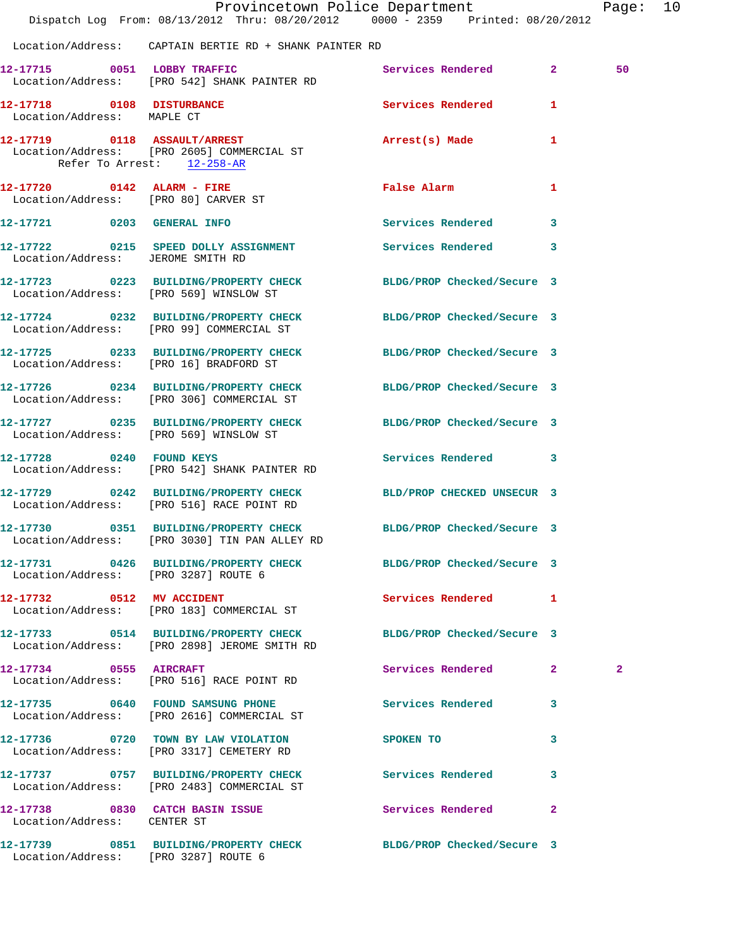|                                                         | Dispatch Log From: 08/13/2012 Thru: 08/20/2012 0000 - 2359 Printed: 08/20/2012                                    | Provincetown Police Department             |              | Page: 10     |  |
|---------------------------------------------------------|-------------------------------------------------------------------------------------------------------------------|--------------------------------------------|--------------|--------------|--|
|                                                         | Location/Address: CAPTAIN BERTIE RD + SHANK PAINTER RD                                                            |                                            |              |              |  |
|                                                         | 12-17715 0051 LOBBY TRAFFIC<br>Location/Address: [PRO 542] SHANK PAINTER RD                                       | Services Rendered 2                        |              | 50           |  |
| 12-17718 0108 DISTURBANCE<br>Location/Address: MAPLE CT |                                                                                                                   | Services Rendered                          | $\mathbf{1}$ |              |  |
| Refer To Arrest: 12-258-AR                              | 12-17719 0118 ASSAULT/ARREST<br>Location/Address: [PRO 2605] COMMERCIAL ST                                        | Arrest(s) Made                             | $\mathbf{1}$ |              |  |
| Location/Address: [PRO 80] CARVER ST                    | 12-17720 0142 ALARM - FIRE                                                                                        | False Alarm <b>Francisco Execute Alarm</b> | $\mathbf{1}$ |              |  |
|                                                         | 12-17721 0203 GENERAL INFO                                                                                        | Services Rendered                          | $\mathbf{3}$ |              |  |
| Location/Address: JEROME SMITH RD                       | 12-17722 0215 SPEED DOLLY ASSIGNMENT Services Rendered 3                                                          |                                            |              |              |  |
|                                                         | 12-17723 0223 BUILDING/PROPERTY CHECK BLDG/PROP Checked/Secure 3<br>Location/Address: [PRO 569] WINSLOW ST        |                                            |              |              |  |
|                                                         | 12-17724 0232 BUILDING/PROPERTY CHECK BLDG/PROP Checked/Secure 3<br>Location/Address: [PRO 99] COMMERCIAL ST      |                                            |              |              |  |
|                                                         | 12-17725 0233 BUILDING/PROPERTY CHECK BLDG/PROP Checked/Secure 3<br>Location/Address: [PRO 16] BRADFORD ST        |                                            |              |              |  |
|                                                         | 12-17726 0234 BUILDING/PROPERTY CHECK BLDG/PROP Checked/Secure 3<br>Location/Address: [PRO 306] COMMERCIAL ST     |                                            |              |              |  |
|                                                         | 12-17727 0235 BUILDING/PROPERTY CHECK BLDG/PROP Checked/Secure 3<br>Location/Address: [PRO 569] WINSLOW ST        |                                            |              |              |  |
| 12-17728 0240 FOUND KEYS                                | Location/Address: [PRO 542] SHANK PAINTER RD                                                                      | Services Rendered 3                        |              |              |  |
|                                                         | 12-17729 0242 BUILDING/PROPERTY CHECK<br>Location/Address: [PRO 516] RACE POINT RD                                | BLD/PROP CHECKED UNSECUR 3                 |              |              |  |
|                                                         | 12-17730 0351 BUILDING/PROPERTY CHECK BLDG/PROP Checked/Secure 3<br>Location/Address: [PRO 3030] TIN PAN ALLEY RD |                                            |              |              |  |
| Location/Address: [PRO 3287] ROUTE 6                    | 12-17731 0426 BUILDING/PROPERTY CHECK BLDG/PROP Checked/Secure 3                                                  |                                            |              |              |  |
|                                                         | 12-17732 0512 MV ACCIDENT<br>Location/Address: [PRO 183] COMMERCIAL ST                                            | Services Rendered 1                        |              |              |  |
|                                                         | 12-17733 0514 BUILDING/PROPERTY CHECK BLDG/PROP Checked/Secure 3<br>Location/Address: [PRO 2898] JEROME SMITH RD  |                                            |              |              |  |
|                                                         | 12-17734 0555 AIRCRAFT<br>Location/Address: [PRO 516] RACE POINT RD                                               | Services Rendered 2                        |              | $\mathbf{2}$ |  |
|                                                         | 12-17735 0640 FOUND SAMSUNG PHONE<br>Location/Address: [PRO 2616] COMMERCIAL ST                                   | Services Rendered 3                        |              |              |  |
|                                                         | 12-17736 0720 TOWN BY LAW VIOLATION<br>Location/Address: [PRO 3317] CEMETERY RD                                   | SPOKEN TO                                  | 3            |              |  |
|                                                         | 12-17737 0757 BUILDING/PROPERTY CHECK Services Rendered 3<br>Location/Address: [PRO 2483] COMMERCIAL ST           |                                            |              |              |  |
| Location/Address: CENTER ST                             | 12-17738 0830 CATCH BASIN ISSUE Services Rendered 2                                                               |                                            |              |              |  |
| Location/Address: [PRO 3287] ROUTE 6                    | 12-17739 0851 BUILDING/PROPERTY CHECK                                                                             | BLDG/PROP Checked/Secure 3                 |              |              |  |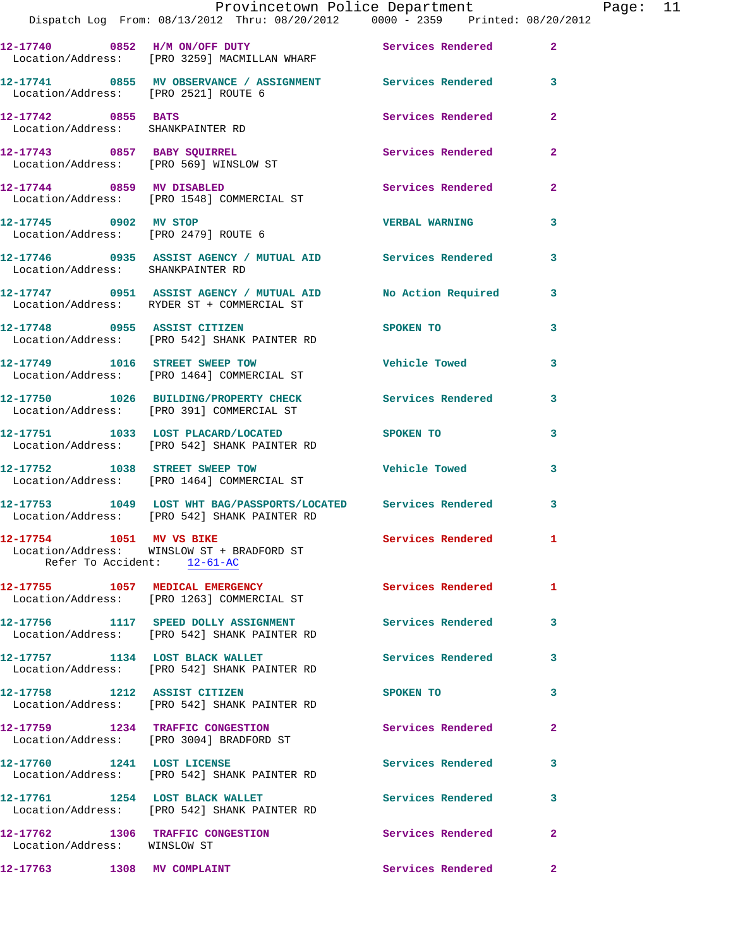|                                                                  | Provincetown Police Department Fage: 11<br>Dispatch Log From: 08/13/2012 Thru: 08/20/2012   0000 - 2359   Printed: 08/20/2012 |                          |                         |  |
|------------------------------------------------------------------|-------------------------------------------------------------------------------------------------------------------------------|--------------------------|-------------------------|--|
|                                                                  | 12-17740 0852 H/M ON/OFF DUTY Services Rendered 2<br>Location/Address: [PRO 3259] MACMILLAN WHARF                             |                          |                         |  |
| Location/Address: [PRO 2521] ROUTE 6                             | 12-17741 0855 MV OBSERVANCE / ASSIGNMENT Services Rendered 3                                                                  |                          |                         |  |
| 12-17742 0855 BATS<br>Location/Address: SHANKPAINTER RD          |                                                                                                                               | Services Rendered        | $\mathbf{2}$            |  |
|                                                                  | 12-17743 0857 BABY SQUIRREL<br>Location/Address: [PRO 569] WINSLOW ST                                                         | Services Rendered        | $\mathbf{2}$            |  |
|                                                                  | 12-17744 0859 MV DISABLED<br>Location/Address: [PRO 1548] COMMERCIAL ST                                                       | Services Rendered 2      |                         |  |
|                                                                  | 12-17745 0902 MV STOP<br>Location/Address: [PRO 2479] ROUTE 6                                                                 | <b>VERBAL WARNING</b>    | 3                       |  |
| Location/Address: SHANKPAINTER RD                                | 12-17746 0935 ASSIST AGENCY / MUTUAL AID Services Rendered 3                                                                  |                          |                         |  |
|                                                                  | 12-17747 0951 ASSIST AGENCY / MUTUAL AID No Action Required 3<br>Location/Address: RYDER ST + COMMERCIAL ST                   |                          |                         |  |
|                                                                  | 12-17748 0955 ASSIST CITIZEN SPOKEN TO<br>Location/Address: [PRO 542] SHANK PAINTER RD                                        |                          | $\overline{\mathbf{3}}$ |  |
|                                                                  | 12-17749 1016 STREET SWEEP TOW<br>Location/Address: [PRO 1464] COMMERCIAL ST                                                  | Vehicle Towed            | 3                       |  |
|                                                                  | 12-17750 1026 BUILDING/PROPERTY CHECK Services Rendered 3<br>Location/Address: [PRO 391] COMMERCIAL ST                        |                          |                         |  |
|                                                                  | 12-17751 1033 LOST PLACARD/LOCATED SPOKEN TO<br>Location/Address: [PRO 542] SHANK PAINTER RD                                  |                          | 3                       |  |
|                                                                  | 12-17752 1038 STREET SWEEP TOW<br>Location/Address: [PRO 1464] COMMERCIAL ST                                                  | Vehicle Towed            | 3                       |  |
|                                                                  | 12-17753 1049 LOST WHT BAG/PASSPORTS/LOCATED Services Rendered 3<br>Location/Address: [PRO 542] SHANK PAINTER RD              |                          |                         |  |
| 12-17754 1051 MV VS BIKE<br>Refer To Accident: 12-61-AC          | Location/Address: WINSLOW ST + BRADFORD ST                                                                                    | <b>Services Rendered</b> |                         |  |
|                                                                  | 12-17755 1057 MEDICAL EMERGENCY<br>Location/Address: [PRO 1263] COMMERCIAL ST                                                 | Services Rendered        | 1                       |  |
|                                                                  | 12-17756 1117 SPEED DOLLY ASSIGNMENT Services Rendered<br>Location/Address: [PRO 542] SHANK PAINTER RD                        |                          | 3                       |  |
|                                                                  | 12-17757 1134 LOST BLACK WALLET<br>Location/Address: [PRO 542] SHANK PAINTER RD                                               | Services Rendered        | 3                       |  |
| 12-17758 1212 ASSIST CITIZEN                                     | Location/Address: [PRO 542] SHANK PAINTER RD                                                                                  | SPOKEN TO                | 3                       |  |
|                                                                  | 12-17759 1234 TRAFFIC CONGESTION<br>Location/Address: [PRO 3004] BRADFORD ST                                                  | Services Rendered        | 2                       |  |
| 12-17760 1241 LOST LICENSE                                       | Location/Address: [PRO 542] SHANK PAINTER RD                                                                                  | Services Rendered        | 3                       |  |
|                                                                  | 12-17761 1254 LOST BLACK WALLET<br>Location/Address: [PRO 542] SHANK PAINTER RD                                               | <b>Services Rendered</b> | 3                       |  |
| 12-17762 1306 TRAFFIC CONGESTION<br>Location/Address: WINSLOW ST |                                                                                                                               | Services Rendered        | 2                       |  |
| 12-17763 1308 MV COMPLAINT                                       |                                                                                                                               | Services Rendered        | $\mathbf{2}$            |  |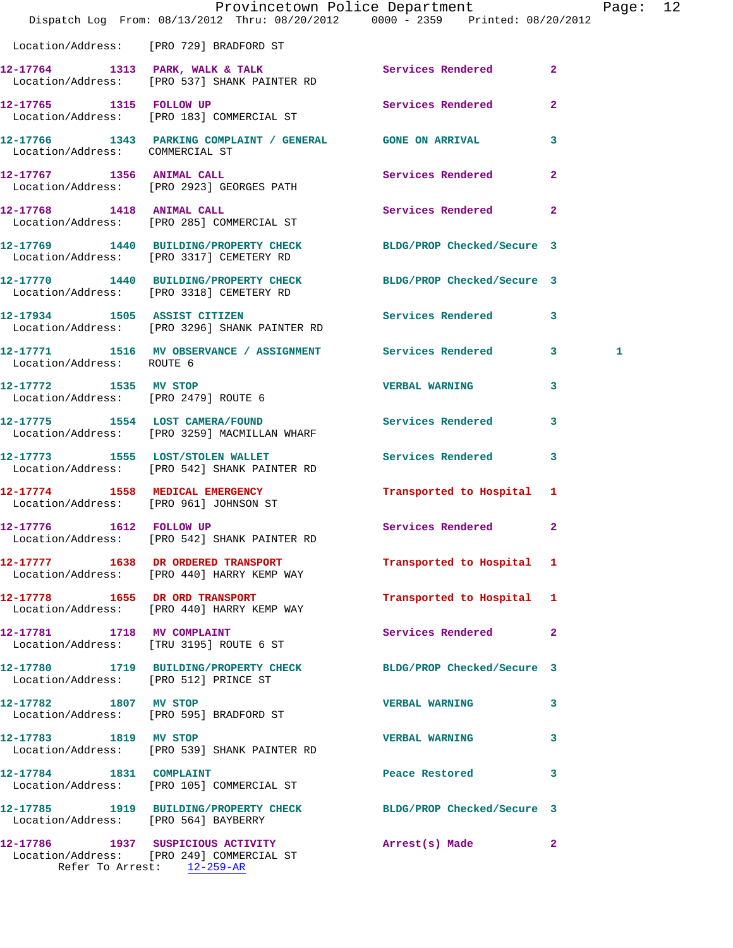|                                       |                                                                                                              | Provincetown Police Department<br>Dispatch Log From: 08/13/2012 Thru: 08/20/2012 0000 - 2359 Printed: 08/20/2012 | Page: 12 |
|---------------------------------------|--------------------------------------------------------------------------------------------------------------|------------------------------------------------------------------------------------------------------------------|----------|
|                                       | Location/Address: [PRO 729] BRADFORD ST                                                                      |                                                                                                                  |          |
|                                       | 12-17764 1313 PARK, WALK & TALK<br>Location/Address: [PRO 537] SHANK PAINTER RD                              | Services Rendered 2                                                                                              |          |
|                                       | 12-17765 1315 FOLLOW UP<br>Location/Address: [PRO 183] COMMERCIAL ST                                         | Services Rendered<br>$\overline{2}$                                                                              |          |
| Location/Address: COMMERCIAL ST       |                                                                                                              | 12-17766 1343 PARKING COMPLAINT / GENERAL GONE ON ARRIVAL 3                                                      |          |
|                                       | 12-17767 1356 ANIMAL CALL<br>Location/Address: [PRO 2923] GEORGES PATH                                       | Services Rendered 2                                                                                              |          |
|                                       | 12-17768 1418 ANIMAL CALL<br>Location/Address: [PRO 285] COMMERCIAL ST                                       | Services Rendered 2                                                                                              |          |
|                                       | Location/Address: [PRO 3317] CEMETERY RD                                                                     | 12-17769 1440 BUILDING/PROPERTY CHECK BLDG/PROP Checked/Secure 3                                                 |          |
|                                       | Location/Address: [PRO 3318] CEMETERY RD                                                                     | 12-17770 1440 BUILDING/PROPERTY CHECK BLDG/PROP Checked/Secure 3                                                 |          |
|                                       | 12-17934 1505 ASSIST CITIZEN<br>Location/Address: [PRO 3296] SHANK PAINTER RD                                | Services Rendered 3                                                                                              |          |
| Location/Address: ROUTE 6             |                                                                                                              | 12-17771 1516 MV OBSERVANCE / ASSIGNMENT Services Rendered 3                                                     | 1        |
| 12-17772 1535 MV STOP                 | Location/Address: [PRO 2479] ROUTE 6                                                                         | VERBAL WARNING 3                                                                                                 |          |
|                                       | 12-17775 1554 LOST CAMERA/FOUND<br>Location/Address: [PRO 3259] MACMILLAN WHARF                              | Services Rendered<br>3                                                                                           |          |
|                                       | 12-17773 1555 LOST/STOLEN WALLET<br>Location/Address: [PRO 542] SHANK PAINTER RD                             | Services Rendered 3                                                                                              |          |
|                                       | 12-17774 1558 MEDICAL EMERGENCY<br>Location/Address: [PRO 961] JOHNSON ST                                    | Transported to Hospital 1                                                                                        |          |
| 12-17776 1612 FOLLOW UP               | Location/Address: [PRO 542] SHANK PAINTER RD                                                                 | Services Rendered 2                                                                                              |          |
|                                       | 12-17777 1638 DR ORDERED TRANSPORT<br>Location/Address: [PRO 440] HARRY KEMP WAY                             | Transported to Hospital 1                                                                                        |          |
|                                       | 12-17778 1655 DR ORD TRANSPORT<br>Location/Address: [PRO 440] HARRY KEMP WAY                                 | Transported to Hospital 1                                                                                        |          |
|                                       | 12-17781 1718 MV COMPLAINT<br>Location/Address: [TRU 3195] ROUTE 6 ST                                        | Services Rendered 2                                                                                              |          |
| Location/Address: [PRO 512] PRINCE ST |                                                                                                              | 12-17780 1719 BUILDING/PROPERTY CHECK BLDG/PROP Checked/Secure 3                                                 |          |
| 12-17782 1807 MV STOP                 | Location/Address: [PRO 595] BRADFORD ST                                                                      | <b>VERBAL WARNING</b><br>$\mathbf{3}$                                                                            |          |
| 12-17783 1819 MV STOP                 | Location/Address: [PRO 539] SHANK PAINTER RD                                                                 | <b>VERBAL WARNING</b><br>3                                                                                       |          |
| 12-17784 1831 COMPLAINT               | Location/Address: [PRO 105] COMMERCIAL ST                                                                    | Peace Restored <b>Seaps</b><br>3                                                                                 |          |
| Location/Address: [PRO 564] BAYBERRY  |                                                                                                              | 12-17785 1919 BUILDING/PROPERTY CHECK BLDG/PROP Checked/Secure 3                                                 |          |
|                                       | 12-17786 1937 SUSPICIOUS ACTIVITY<br>Location/Address: [PRO 249] COMMERCIAL ST<br>Refer To Arrest: 12-259-AR | Arrest(s) Made<br>2                                                                                              |          |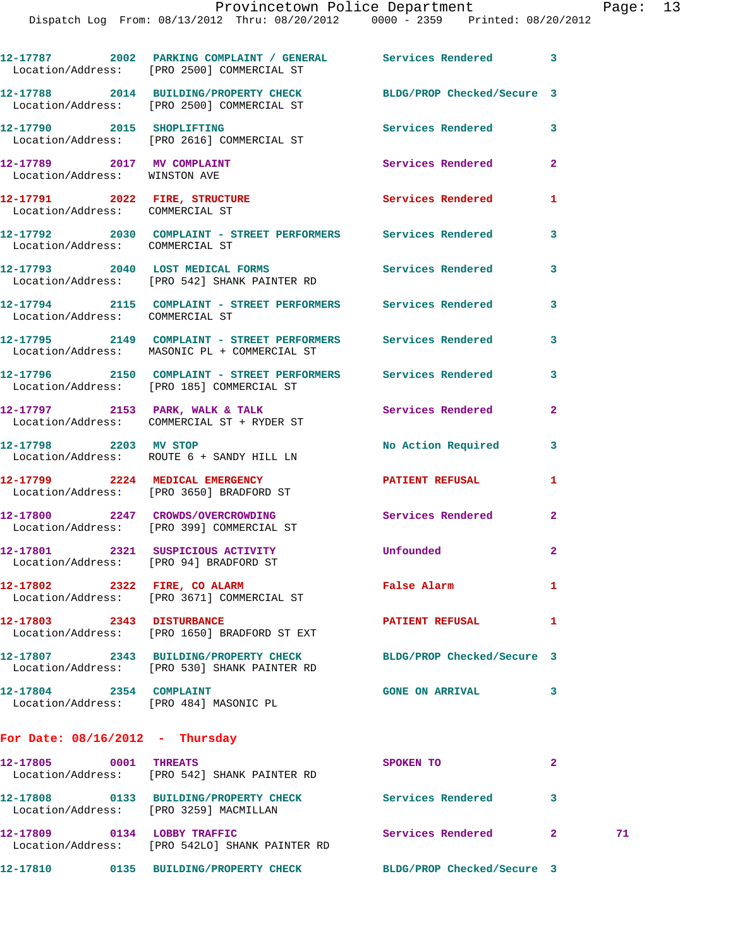|                                                             | 12-17787 2002 PARKING COMPLAINT / GENERAL Services Rendered 3<br>Location/Address: [PRO 2500] COMMERCIAL ST    |                            |                |    |
|-------------------------------------------------------------|----------------------------------------------------------------------------------------------------------------|----------------------------|----------------|----|
|                                                             | 12-17788 2014 BUILDING/PROPERTY CHECK BLDG/PROP Checked/Secure 3<br>Location/Address: [PRO 2500] COMMERCIAL ST |                            |                |    |
|                                                             | 12-17790 2015 SHOPLIFTING<br>Location/Address: [PRO 2616] COMMERCIAL ST                                        | Services Rendered 3        |                |    |
| 12-17789 2017 MV COMPLAINT<br>Location/Address: WINSTON AVE |                                                                                                                | Services Rendered          | $\overline{2}$ |    |
| Location/Address: COMMERCIAL ST                             | 12-17791 2022 FIRE, STRUCTURE                                                                                  | Services Rendered          | 1              |    |
|                                                             | 12-17792  2030  COMPLAINT - STREET PERFORMERS  Services Rendered<br>Location/Address:  COMMERCIAL ST           |                            | 3              |    |
|                                                             | 12-17793 2040 LOST MEDICAL FORMS<br>Location/Address: [PRO 542] SHANK PAINTER RD                               | Services Rendered          | 3              |    |
| Location/Address: COMMERCIAL ST                             | 12-17794 2115 COMPLAINT - STREET PERFORMERS Services Rendered                                                  |                            | 3              |    |
|                                                             | 12-17795 2149 COMPLAINT - STREET PERFORMERS Services Rendered<br>Location/Address: MASONIC PL + COMMERCIAL ST  |                            | 3              |    |
|                                                             | 12-17796 2150 COMPLAINT - STREET PERFORMERS Services Rendered<br>Location/Address: [PRO 185] COMMERCIAL ST     |                            | 3              |    |
|                                                             | $12-17797$ 2153 PARK, WALK & TALK<br>Location/Address: COMMERCIAL ST + RYDER ST                                | <b>Services Rendered</b>   | $\mathbf{2}$   |    |
| 12-17798 2203 MV STOP                                       | Location/Address: ROUTE 6 + SANDY HILL LN                                                                      | No Action Required 3       |                |    |
|                                                             | 12-17799 2224 MEDICAL EMERGENCY<br>Location/Address: [PRO 3650] BRADFORD ST                                    | PATIENT REFUSAL            | 1              |    |
|                                                             | 12-17800 2247 CROWDS/OVERCROWDING Services Rendered 2<br>Location/Address: [PRO 399] COMMERCIAL ST             |                            |                |    |
|                                                             | 12-17801 2321 SUSPICIOUS ACTIVITY<br>Location/Address: [PRO 94] BRADFORD ST                                    | Unfounded                  | $\mathbf{2}$   |    |
|                                                             | 12-17802 2322 FIRE, CO ALARM<br>Location/Address: [PRO 3671] COMMERCIAL ST                                     | False Alarm                | 1              |    |
| 12-17803 2343 DISTURBANCE                                   | Location/Address: [PRO 1650] BRADFORD ST EXT                                                                   | PATIENT REFUSAL            | 1              |    |
|                                                             | 12-17807 2343 BUILDING/PROPERTY CHECK<br>Location/Address: [PRO 530] SHANK PAINTER RD                          | BLDG/PROP Checked/Secure 3 |                |    |
| 12-17804 2354 COMPLAINT                                     | Location/Address: [PRO 484] MASONIC PL                                                                         | <b>GONE ON ARRIVAL</b>     | 3              |    |
| For Date: $08/16/2012$ - Thursday                           |                                                                                                                |                            |                |    |
| 12-17805 0001 THREATS                                       | Location/Address: [PRO 542] SHANK PAINTER RD                                                                   | SPOKEN TO                  | $\mathbf{2}$   |    |
|                                                             | 12-17808 0133 BUILDING/PROPERTY CHECK<br>Location/Address: [PRO 3259] MACMILLAN                                | Services Rendered          | 3              |    |
| 12-17809 0134 LOBBY TRAFFIC                                 |                                                                                                                | Services Rendered 2        |                | 71 |

**12-17810 0135 BUILDING/PROPERTY CHECK BLDG/PROP Checked/Secure 3** 

Location/Address: [PRO 542LO] SHANK PAINTER RD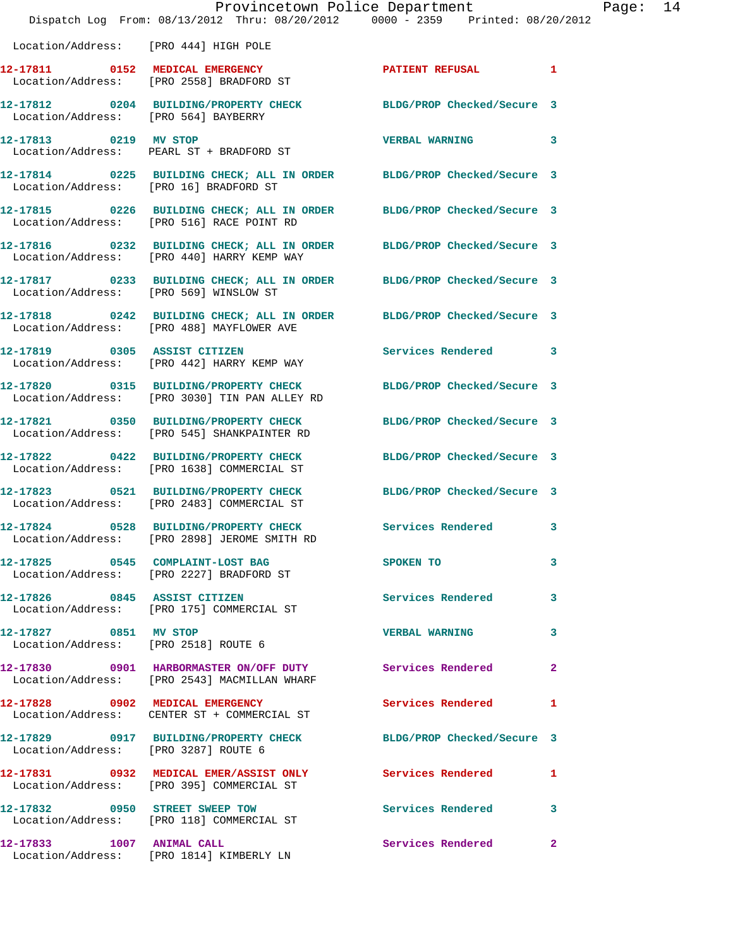|                                        | Dispatch Log From: 08/13/2012 Thru: 08/20/2012   0000 - 2359   Printed: 08/20/2012                                  | Provincetown Police Department                                                                                                                                                                                                 |              | Page: 14 |  |
|----------------------------------------|---------------------------------------------------------------------------------------------------------------------|--------------------------------------------------------------------------------------------------------------------------------------------------------------------------------------------------------------------------------|--------------|----------|--|
| Location/Address: [PRO 444] HIGH POLE  |                                                                                                                     |                                                                                                                                                                                                                                |              |          |  |
|                                        | 12-17811 0152 MEDICAL EMERGENCY<br>Location/Address: [PRO 2558] BRADFORD ST                                         | PATIENT REFUSAL 1                                                                                                                                                                                                              |              |          |  |
| Location/Address: [PRO 564] BAYBERRY   | 12-17812 0204 BUILDING/PROPERTY CHECK BLDG/PROP Checked/Secure 3                                                    |                                                                                                                                                                                                                                |              |          |  |
| 12-17813 0219 MV STOP                  | Location/Address: PEARL ST + BRADFORD ST                                                                            | VERBAL WARNING 3                                                                                                                                                                                                               |              |          |  |
| Location/Address: [PRO 16] BRADFORD ST | 12-17814 0225 BUILDING CHECK; ALL IN ORDER BLDG/PROP Checked/Secure 3                                               |                                                                                                                                                                                                                                |              |          |  |
|                                        | 12-17815 0226 BUILDING CHECK; ALL IN ORDER BLDG/PROP Checked/Secure 3<br>Location/Address: [PRO 516] RACE POINT RD  |                                                                                                                                                                                                                                |              |          |  |
|                                        | 12-17816 0232 BUILDING CHECK; ALL IN ORDER BLDG/PROP Checked/Secure 3<br>Location/Address: [PRO 440] HARRY KEMP WAY |                                                                                                                                                                                                                                |              |          |  |
| Location/Address: [PRO 569] WINSLOW ST | 12-17817 0233 BUILDING CHECK; ALL IN ORDER BLDG/PROP Checked/Secure 3                                               |                                                                                                                                                                                                                                |              |          |  |
|                                        | 12-17818 0242 BUILDING CHECK; ALL IN ORDER BLDG/PROP Checked/Secure 3<br>Location/Address: [PRO 488] MAYFLOWER AVE  |                                                                                                                                                                                                                                |              |          |  |
|                                        | 12-17819 0305 ASSIST CITIZEN<br>Location/Address: [PRO 442] HARRY KEMP WAY                                          | Services Rendered 3                                                                                                                                                                                                            |              |          |  |
|                                        | 12-17820 0315 BUILDING/PROPERTY CHECK<br>Location/Address: [PRO 3030] TIN PAN ALLEY RD                              | BLDG/PROP Checked/Secure 3                                                                                                                                                                                                     |              |          |  |
|                                        | 12-17821 0350 BUILDING/PROPERTY CHECK BLDG/PROP Checked/Secure 3<br>Location/Address: [PRO 545] SHANKPAINTER RD     |                                                                                                                                                                                                                                |              |          |  |
|                                        | 12-17822 0422 BUILDING/PROPERTY CHECK BLDG/PROP Checked/Secure 3<br>Location/Address: [PRO 1638] COMMERCIAL ST      |                                                                                                                                                                                                                                |              |          |  |
|                                        | 12-17823 0521 BUILDING/PROPERTY CHECK BLDG/PROP Checked/Secure 3<br>Location/Address: [PRO 2483] COMMERCIAL ST      |                                                                                                                                                                                                                                |              |          |  |
|                                        | 12-17824 0528 BUILDING/PROPERTY CHECK Services Rendered 3<br>Location/Address: [PRO 2898] JEROME SMITH RD           |                                                                                                                                                                                                                                |              |          |  |
|                                        | 12-17825 0545 COMPLAINT-LOST BAG<br>Location/Address: [PRO 2227] BRADFORD ST                                        | SPOKEN TO THE SPOKEN OF THE SPOKEN OF THE SPOKEN OF THE SPOKEN OF THE SPOKEN OF THE SPOKEN OF THE SPOKEN OF THE SPOKEN OF THE SPOKEN OF THE SPOKEN OF THE SPOKEN OF THE SPOKEN OF THE SPOKEN OF THE SPOKEN OF THE SPOKEN OF TH | 3            |          |  |
|                                        | 12-17826 0845 ASSIST CITIZEN<br>Location/Address: [PRO 175] COMMERCIAL ST                                           | <b>Services Rendered</b>                                                                                                                                                                                                       | 3            |          |  |
| 12-17827 0851 MV STOP                  | Location/Address: [PRO 2518] ROUTE 6                                                                                | <b>VERBAL WARNING</b>                                                                                                                                                                                                          | 3            |          |  |
|                                        | 12-17830 0901 HARBORMASTER ON/OFF DUTY Services Rendered<br>Location/Address: [PRO 2543] MACMILLAN WHARF            |                                                                                                                                                                                                                                | $\mathbf{2}$ |          |  |
|                                        | 12-17828 0902 MEDICAL EMERGENCY<br>Location/Address: CENTER ST + COMMERCIAL ST                                      | Services Rendered                                                                                                                                                                                                              | 1            |          |  |
| Location/Address: [PRO 3287] ROUTE 6   | 12-17829 0917 BUILDING/PROPERTY CHECK                                                                               | BLDG/PROP Checked/Secure 3                                                                                                                                                                                                     |              |          |  |
|                                        | 12-17831 0932 MEDICAL EMER/ASSIST ONLY Services Rendered<br>Location/Address: [PRO 395] COMMERCIAL ST               |                                                                                                                                                                                                                                | 1            |          |  |
|                                        | 12-17832 0950 STREET SWEEP TOW<br>Location/Address: [PRO 118] COMMERCIAL ST                                         | Services Rendered                                                                                                                                                                                                              | 3            |          |  |
| 12-17833 1007 ANIMAL CALL              |                                                                                                                     | Services Rendered                                                                                                                                                                                                              | $\mathbf{2}$ |          |  |

Location/Address: [PRO 1814] KIMBERLY LN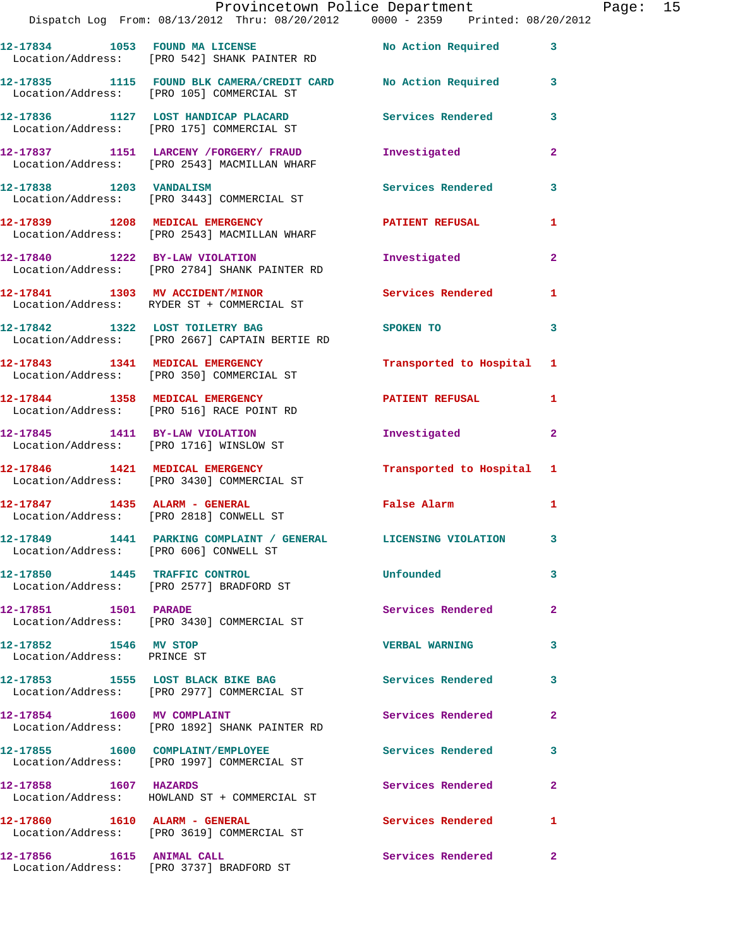|                                                      | Provincetown Police Department<br>Dispatch Log From: 08/13/2012 Thru: 08/20/2012 0000 - 2359 Printed: 08/20/2012 |                           |              | Page: 15 |  |
|------------------------------------------------------|------------------------------------------------------------------------------------------------------------------|---------------------------|--------------|----------|--|
|                                                      | 12-17834 1053 FOUND MA LICENSE No Action Required 3<br>Location/Address: [PRO 542] SHANK PAINTER RD              |                           |              |          |  |
|                                                      | 12-17835 1115 FOUND BLK CAMERA/CREDIT CARD No Action Required 3<br>Location/Address: [PRO 105] COMMERCIAL ST     |                           |              |          |  |
|                                                      | 12-17836 1127 LOST HANDICAP PLACARD Services Rendered 3<br>Location/Address: [PRO 175] COMMERCIAL ST             |                           |              |          |  |
|                                                      | 12-17837 1151 LARCENY / FORGERY / FRAUD<br>Location/Address: [PRO 2543] MACMILLAN WHARF                          | Investigated              | $\mathbf{2}$ |          |  |
|                                                      | 12-17838 1203 VANDALISM<br>Location/Address: [PRO 3443] COMMERCIAL ST                                            | Services Rendered 3       |              |          |  |
|                                                      | 12-17839 1208 MEDICAL EMERGENCY 1990 PATIENT REFUSAL<br>Location/Address: [PRO 2543] MACMILLAN WHARF             |                           | 1            |          |  |
|                                                      | 12-17840 1222 BY-LAW VIOLATION<br>Location/Address: [PRO 2784] SHANK PAINTER RD                                  | Investigated              | $\mathbf{2}$ |          |  |
|                                                      | 12-17841 1303 MV ACCIDENT/MINOR Services Rendered<br>Location/Address: RYDER ST + COMMERCIAL ST                  |                           | 1            |          |  |
|                                                      | 12-17842 1322 LOST TOILETRY BAG<br>Location/Address: [PRO 2667] CAPTAIN BERTIE RD                                | SPOKEN TO                 | 3            |          |  |
|                                                      | 12-17843 1341 MEDICAL EMERGENCY<br>Location/Address: [PRO 350] COMMERCIAL ST                                     | Transported to Hospital 1 |              |          |  |
|                                                      | 12-17844 1358 MEDICAL EMERGENCY PATIENT REFUSAL 1<br>Location/Address: [PRO 516] RACE POINT RD                   |                           |              |          |  |
|                                                      | 12-17845 1411 BY-LAW VIOLATION<br>Location/Address: [PRO 1716] WINSLOW ST                                        | Investigated              | $\mathbf{2}$ |          |  |
|                                                      | 12-17846 1421 MEDICAL EMERGENCY<br>Location/Address: [PRO 3430] COMMERCIAL ST                                    | Transported to Hospital 1 |              |          |  |
|                                                      | 12-17847 1435 ALARM - GENERAL<br>Location/Address: [PRO 2818] CONWELL ST                                         | False Alarm 1             |              |          |  |
| Location/Address: [PRO 606] CONWELL ST               | 12-17849 1441 PARKING COMPLAINT / GENERAL LICENSING VIOLATION 3                                                  |                           |              |          |  |
|                                                      | 12-17850 1445 TRAFFIC CONTROL<br>Location/Address: [PRO 2577] BRADFORD ST                                        | Unfounded                 | 3            |          |  |
| 12-17851 1501 PARADE                                 | Location/Address: [PRO 3430] COMMERCIAL ST                                                                       | Services Rendered         | $\mathbf{2}$ |          |  |
| 12-17852 1546 MV STOP<br>Location/Address: PRINCE ST |                                                                                                                  | <b>VERBAL WARNING</b>     | 3            |          |  |
|                                                      | 12-17853 1555 LOST BLACK BIKE BAG<br>Location/Address: [PRO 2977] COMMERCIAL ST                                  | <b>Services Rendered</b>  | 3            |          |  |
|                                                      | 12-17854 1600 MV COMPLAINT<br>Location/Address: [PRO 1892] SHANK PAINTER RD                                      | Services Rendered         | $\mathbf{2}$ |          |  |
|                                                      | 12-17855 1600 COMPLAINT/EMPLOYEE<br>Location/Address: [PRO 1997] COMMERCIAL ST                                   | Services Rendered         | 3            |          |  |
| 12-17858 1607 HAZARDS                                | Location/Address: HOWLAND ST + COMMERCIAL ST                                                                     | Services Rendered         | $\mathbf{2}$ |          |  |
| 12-17860 1610 ALARM - GENERAL                        | Location/Address: [PRO 3619] COMMERCIAL ST                                                                       | Services Rendered         | $\mathbf{1}$ |          |  |
|                                                      | 12-17856 1615 ANIMAL CALL<br>Location/Address: [PRO 3737] BRADFORD ST                                            | Services Rendered         | $\mathbf{2}$ |          |  |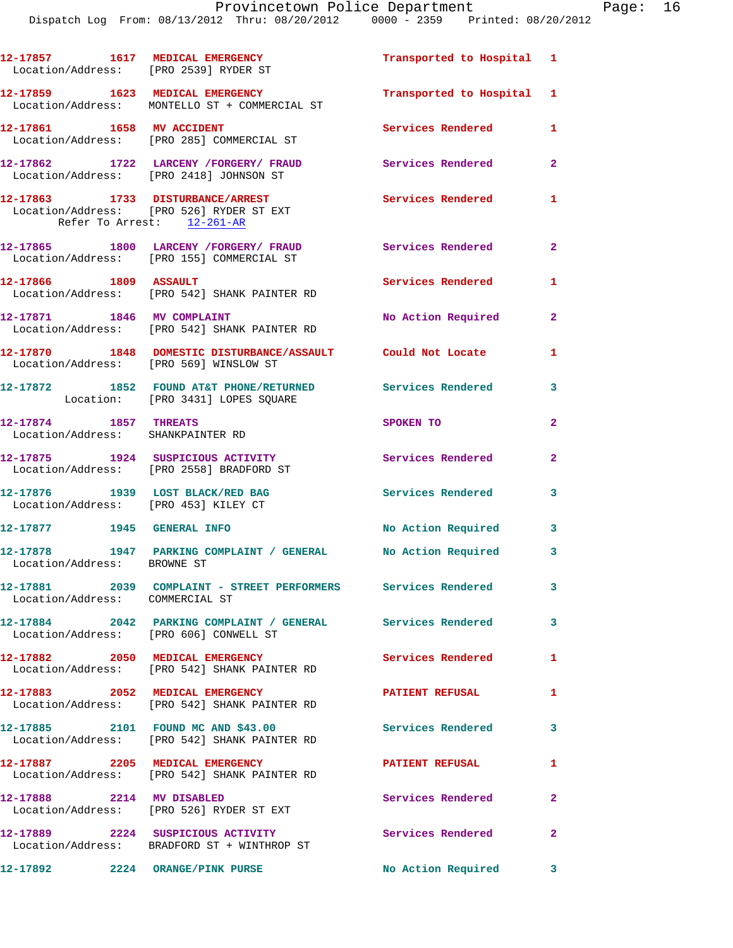Dispatch Log From: 08/13/2012 Thru: 08/20/2012 0000 - 2359 Printed: 08/20/2012

|                                                                          | 12-17857 1617 MEDICAL EMERGENCY<br>Location/Address: [PRO 2539] RYDER ST                              | Transported to Hospital 1 |                |
|--------------------------------------------------------------------------|-------------------------------------------------------------------------------------------------------|---------------------------|----------------|
|                                                                          | 12-17859 1623 MEDICAL EMERGENCY<br>Location/Address: MONTELLO ST + COMMERCIAL ST                      | Transported to Hospital 1 |                |
|                                                                          | 12-17861 1658 MV ACCIDENT<br>Location/Address: [PRO 285] COMMERCIAL ST                                | <b>Services Rendered</b>  | 1              |
|                                                                          | 12-17862 1722 LARCENY / FORGERY / FRAUD<br>Location/Address: [PRO 2418] JOHNSON ST                    | Services Rendered         | $\mathbf{2}$   |
| Refer To Arrest: 12-261-AR                                               | 12-17863 1733 DISTURBANCE/ARREST<br>Location/Address: [PRO 526] RYDER ST EXT                          | <b>Services Rendered</b>  | $\mathbf{1}$   |
|                                                                          | 12-17865 1800 LARCENY /FORGERY/ FRAUD<br>Location/Address: [PRO 155] COMMERCIAL ST                    | Services Rendered         | $\overline{2}$ |
| 12-17866 1809 ASSAULT                                                    | Location/Address: [PRO 542] SHANK PAINTER RD                                                          | Services Rendered         | 1.             |
| 12-17871 1846 MV COMPLAINT                                               | Location/Address: [PRO 542] SHANK PAINTER RD                                                          | No Action Required        | $\mathbf{2}$   |
| Location/Address: [PRO 569] WINSLOW ST                                   | 12-17870 1848 DOMESTIC DISTURBANCE/ASSAULT Could Not Locate                                           |                           | 1.             |
|                                                                          | 12-17872 1852 FOUND AT&T PHONE/RETURNED Services Rendered<br>Location: [PRO 3431] LOPES SQUARE        |                           | 3              |
| 12-17874 1857 THREATS<br>Location/Address: SHANKPAINTER RD               |                                                                                                       | SPOKEN TO                 | $\overline{2}$ |
|                                                                          | 12-17875 1924 SUSPICIOUS ACTIVITY<br>Location/Address: [PRO 2558] BRADFORD ST                         | <b>Services Rendered</b>  | $\mathbf{2}$   |
| 12-17876 1939 LOST BLACK/RED BAG<br>Location/Address: [PRO 453] KILEY CT |                                                                                                       | <b>Services Rendered</b>  | $\mathbf{3}$   |
| 12-17877 1945 GENERAL INFO                                               |                                                                                                       | No Action Required        | $\mathbf{3}$   |
| Location/Address: BROWNE ST                                              | 12-17878 1947 PARKING COMPLAINT / GENERAL No Action Required 3                                        |                           |                |
| Location/Address: COMMERCIAL ST                                          | 12-17881 2039 COMPLAINT - STREET PERFORMERS Services Rendered                                         |                           | $\mathbf{3}$   |
|                                                                          | 12-17884 2042 PARKING COMPLAINT / GENERAL Services Rendered<br>Location/Address: [PRO 606] CONWELL ST |                           | $\mathbf{3}$   |
|                                                                          | 12-17882 2050 MEDICAL EMERGENCY<br>Location/Address: [PRO 542] SHANK PAINTER RD                       | Services Rendered         | 1              |
|                                                                          | 12-17883 2052 MEDICAL EMERGENCY<br>Location/Address: [PRO 542] SHANK PAINTER RD                       | <b>PATIENT REFUSAL</b>    | $\mathbf{1}$   |
|                                                                          | 12-17885 2101 FOUND MC AND \$43.00<br>Location/Address: [PRO 542] SHANK PAINTER RD                    | <b>Services Rendered</b>  | $\mathbf{3}$   |
|                                                                          | 12-17887 2205 MEDICAL EMERGENCY<br>Location/Address: [PRO 542] SHANK PAINTER RD                       | PATIENT REFUSAL           | 1              |
| 12-17888 2214 MV DISABLED                                                | Location/Address: [PRO 526] RYDER ST EXT                                                              | Services Rendered         | $\mathbf{2}$   |
|                                                                          | 12-17889 2224 SUSPICIOUS ACTIVITY<br>Location/Address: BRADFORD ST + WINTHROP ST                      | <b>Services Rendered</b>  | $\mathbf{2}$   |
|                                                                          | 12-17892 2224 ORANGE/PINK PURSE                                                                       | No Action Required        | 3              |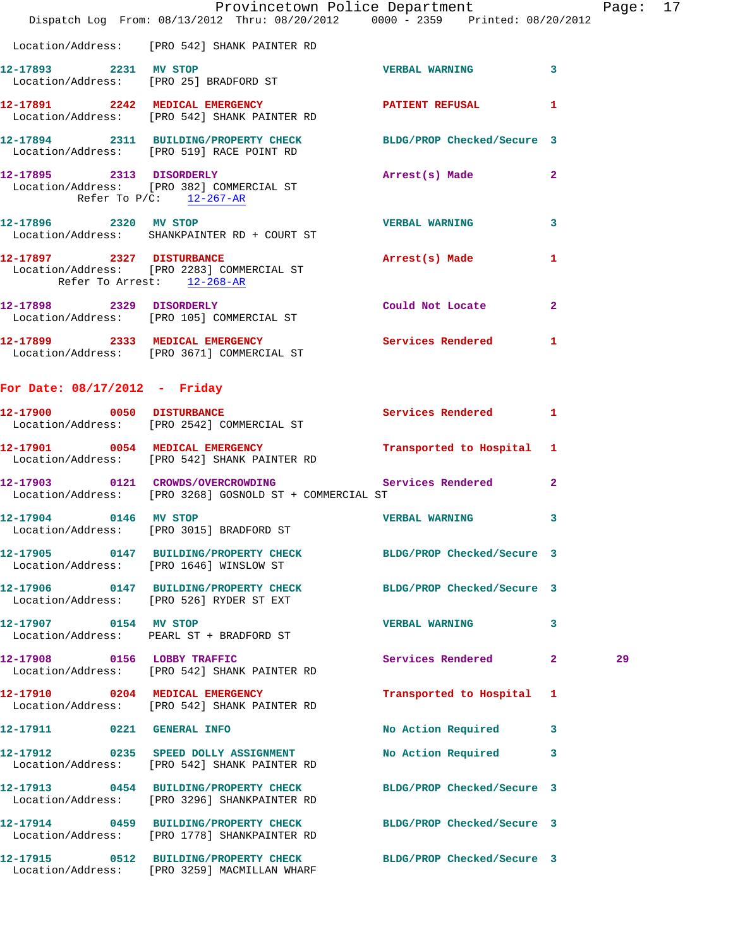|                                 | Provincetown Police Department<br>Dispatch Log From: 08/13/2012 Thru: 08/20/2012 0000 - 2359 Printed: 08/20/2012 |                           |                | Page |
|---------------------------------|------------------------------------------------------------------------------------------------------------------|---------------------------|----------------|------|
|                                 |                                                                                                                  |                           |                |      |
|                                 | Location/Address: [PRO 542] SHANK PAINTER RD                                                                     |                           |                |      |
| 12-17893 2231 MV STOP           | Location/Address: [PRO 25] BRADFORD ST                                                                           | <b>VERBAL WARNING</b>     | $\mathbf{3}$   |      |
|                                 | 12-17891 2242 MEDICAL EMERGENCY PATIENT REFUSAL<br>Location/Address: [PRO 542] SHANK PAINTER RD                  |                           | 1              |      |
|                                 | 12-17894 2311 BUILDING/PROPERTY CHECK BLDG/PROP Checked/Secure 3<br>Location/Address: [PRO 519] RACE POINT RD    |                           |                |      |
|                                 | 12-17895 2313 DISORDERLY<br>Location/Address: [PRO 382] COMMERCIAL ST<br>Refer To $P/C$ : 12-267-AR              | Arrest(s) Made            | $\overline{a}$ |      |
|                                 | 12-17896 2320 MV STOP<br>Location/Address: SHANKPAINTER RD + COURT ST                                            | <b>VERBAL WARNING</b>     | 3              |      |
| Refer To Arrest: 12-268-AR      | 12-17897 2327 DISTURBANCE<br>Location/Address: [PRO 2283] COMMERCIAL ST                                          | Arrest(s) Made            | 1              |      |
|                                 | 12-17898 2329 DISORDERLY<br>Location/Address: [PRO 105] COMMERCIAL ST                                            | Could Not Locate          | $\overline{2}$ |      |
|                                 | 12-17899 2333 MEDICAL EMERGENCY Services Rendered 1<br>Location/Address: [PRO 3671] COMMERCIAL ST                |                           |                |      |
| For Date: $08/17/2012$ - Friday |                                                                                                                  |                           |                |      |
| 12-17900 0050 DISTURBANCE       | Location/Address: [PRO 2542] COMMERCIAL ST                                                                       | Services Rendered 1       |                |      |
|                                 | 12-17901 0054 MEDICAL EMERGENCY Transported to Hospital 1<br>Location/Address: [PRO 542] SHANK PAINTER RD        |                           |                |      |
|                                 | 12-17903 0121 CROWDS/OVERCROWDING Services Rendered<br>Location/Address: [PRO 3268] GOSNOLD ST + COMMERCIAL ST   |                           | $\mathbf{2}$   |      |
|                                 | Location/Address: [PRO 3015] BRADFORD ST VERBAL WARNING                                                          |                           | 3              |      |
|                                 | 12-17905 0147 BUILDING/PROPERTY CHECK BLDG/PROP Checked/Secure 3<br>Location/Address: [PRO 1646] WINSLOW ST      |                           |                |      |
|                                 | 12-17906 0147 BUILDING/PROPERTY CHECK BLDG/PROP Checked/Secure 3<br>Location/Address: [PRO 526] RYDER ST EXT     |                           |                |      |
| 12-17907 0154 MV STOP           | Location/Address: PEARL ST + BRADFORD ST                                                                         | <b>VERBAL WARNING</b>     | 3              |      |
|                                 | 12-17908 0156 LOBBY TRAFFIC<br>Location/Address: [PRO 542] SHANK PAINTER RD                                      | Services Rendered         | $\mathbf{2}$   | 29   |
|                                 | 12-17910 0204 MEDICAL EMERGENCY<br>Location/Address: [PRO 542] SHANK PAINTER RD                                  | Transported to Hospital 1 |                |      |
| 12-17911 0221 GENERAL INFO      |                                                                                                                  | No Action Required        | 3              |      |
|                                 | 12-17912 0235 SPEED DOLLY ASSIGNMENT<br>Location/Address: [PRO 542] SHANK PAINTER RD                             | No Action Required        | 3              |      |
|                                 | 12-17913 0454 BUILDING/PROPERTY CHECK BLDG/PROP Checked/Secure 3<br>Location/Address: [PRO 3296] SHANKPAINTER RD |                           |                |      |
|                                 | 12-17914 0459 BUILDING/PROPERTY CHECK BLDG/PROP Checked/Secure 3<br>Location/Address: [PRO 1778] SHANKPAINTER RD |                           |                |      |
|                                 | 12-17915 0512 BUILDING/PROPERTY CHECK BLDG/PROP Checked/Secure 3<br>Location/Address: [PRO 3259] MACMILLAN WHARF |                           |                |      |

age: 17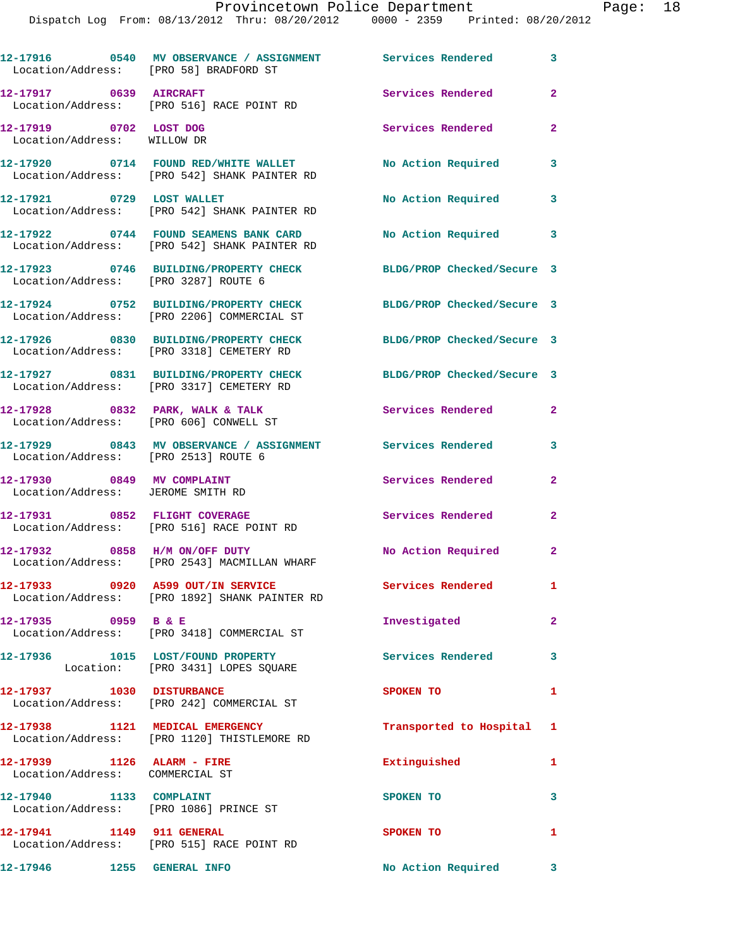| Location/Address: [PRO 58] BRADFORD ST                            | 12-17916 0540 MV OBSERVANCE / ASSIGNMENT Services Rendered 3                          |                            |                |
|-------------------------------------------------------------------|---------------------------------------------------------------------------------------|----------------------------|----------------|
| 12-17917 0639 AIRCRAFT                                            | Location/Address: [PRO 516] RACE POINT RD                                             | Services Rendered          | $\overline{2}$ |
| 12-17919 0702 LOST DOG<br>Location/Address: WILLOW DR             |                                                                                       | Services Rendered          | $\mathbf{2}$   |
|                                                                   | 12-17920 0714 FOUND RED/WHITE WALLET<br>Location/Address: [PRO 542] SHANK PAINTER RD  | No Action Required         | 3              |
| 12-17921 0729 LOST WALLET                                         | Location/Address: [PRO 542] SHANK PAINTER RD                                          | No Action Required 3       |                |
|                                                                   | 12-17922 0744 FOUND SEAMENS BANK CARD<br>Location/Address: [PRO 542] SHANK PAINTER RD | No Action Required 3       |                |
| Location/Address: [PRO 3287] ROUTE 6                              | 12-17923 0746 BUILDING/PROPERTY CHECK                                                 | BLDG/PROP Checked/Secure 3 |                |
|                                                                   | 12-17924 0752 BUILDING/PROPERTY CHECK<br>Location/Address: [PRO 2206] COMMERCIAL ST   | BLDG/PROP Checked/Secure 3 |                |
|                                                                   | 12-17926 0830 BUILDING/PROPERTY CHECK<br>Location/Address: [PRO 3318] CEMETERY RD     | BLDG/PROP Checked/Secure 3 |                |
|                                                                   | 12-17927 0831 BUILDING/PROPERTY CHECK<br>Location/Address: [PRO 3317] CEMETERY RD     | BLDG/PROP Checked/Secure 3 |                |
|                                                                   | $12-17928$ 0832 PARK, WALK & TALK<br>Location/Address: [PRO 606] CONWELL ST           | Services Rendered          | $\overline{2}$ |
| Location/Address: [PRO 2513] ROUTE 6                              | 12-17929 0843 MV OBSERVANCE / ASSIGNMENT Services Rendered                            |                            | $\mathbf{3}$   |
| 12-17930 0849 MV COMPLAINT<br>Location/Address: JEROME SMITH RD   |                                                                                       | Services Rendered          | $\mathbf{2}$   |
|                                                                   | 12-17931 0852 FLIGHT COVERAGE<br>Location/Address: [PRO 516] RACE POINT RD            | Services Rendered          | $\mathbf{2}$   |
|                                                                   | 12-17932 0858 H/M ON/OFF DUTY<br>Location/Address: [PRO 2543] MACMILLAN WHARF         | No Action Required 2       |                |
|                                                                   | 12-17933 0920 A599 OUT/IN SERVICE<br>Location/Address: [PRO 1892] SHANK PAINTER RD    | Services Rendered          | $\mathbf{1}$   |
|                                                                   | 12-17935 0959 B & E<br>Location/Address: [PRO 3418] COMMERCIAL ST                     | Investigated               | $\mathbf{2}$   |
|                                                                   | 12-17936 1015 LOST/FOUND PROPERTY<br>Location: [PRO 3431] LOPES SQUARE                | Services Rendered          | 3              |
| 12-17937 1030 DISTURBANCE                                         | Location/Address: [PRO 242] COMMERCIAL ST                                             | SPOKEN TO                  | $\mathbf{1}$   |
|                                                                   | 12-17938 1121 MEDICAL EMERGENCY<br>Location/Address: [PRO 1120] THISTLEMORE RD        | Transported to Hospital 1  |                |
| 12-17939 1126 ALARM - FIRE<br>Location/Address: COMMERCIAL ST     |                                                                                       | Extinguished               | 1              |
| 12-17940 1133 COMPLAINT<br>Location/Address: [PRO 1086] PRINCE ST |                                                                                       | SPOKEN TO                  | 3              |
|                                                                   | 12-17941 1149 911 GENERAL<br>Location/Address: [PRO 515] RACE POINT RD                | SPOKEN TO                  | 1              |
| 12-17946 1255 GENERAL INFO                                        |                                                                                       | No Action Required 3       |                |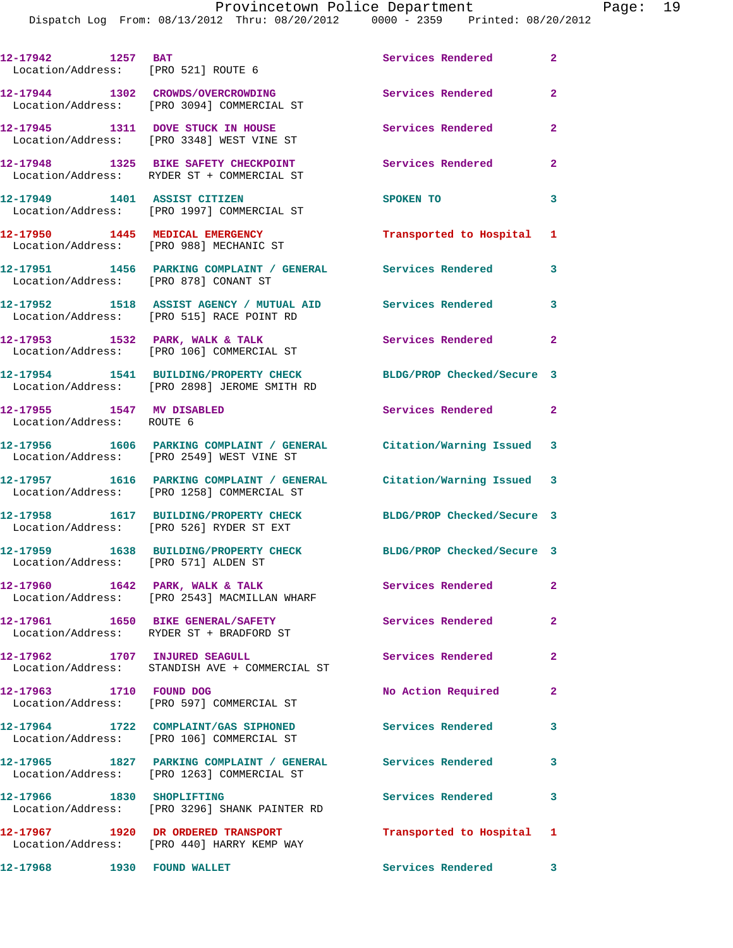|                                                          | DISPACCH DOG FIOM. 00/IS/ZUIZ IHIN. 00/ZU/ZUIZ                                                                                       | $0000 - 2335$ Princed, $00/20/$ |                |
|----------------------------------------------------------|--------------------------------------------------------------------------------------------------------------------------------------|---------------------------------|----------------|
| 12-17942 1257 BAT<br>Location/Address: [PRO 521] ROUTE 6 |                                                                                                                                      | Services Rendered               | $\mathbf{2}$   |
|                                                          | 12-17944 1302 CROWDS/OVERCROWDING<br>Location/Address: [PRO 3094] COMMERCIAL ST                                                      | Services Rendered               | $\overline{2}$ |
|                                                          | 12-17945 1311 DOVE STUCK IN HOUSE<br>Location/Address: [PRO 3348] WEST VINE ST                                                       | Services Rendered               | $\overline{2}$ |
|                                                          | 12-17948 1325 BIKE SAFETY CHECKPOINT<br>Location/Address: RYDER ST + COMMERCIAL ST                                                   | <b>Services Rendered</b>        | $\mathbf{2}$   |
|                                                          | 12-17949 1401 ASSIST CITIZEN<br>Location/Address: [PRO 1997] COMMERCIAL ST                                                           | SPOKEN TO                       | 3              |
|                                                          | 12-17950 1445 MEDICAL EMERGENCY<br>Location/Address: [PRO 988] MECHANIC ST                                                           | Transported to Hospital 1       |                |
| Location/Address: [PRO 878] CONANT ST                    | 12-17951 1456 PARKING COMPLAINT / GENERAL Services Rendered                                                                          |                                 | 3              |
|                                                          | 12-17952 1518 ASSIST AGENCY / MUTUAL AID Services Rendered<br>Location/Address: [PRO 515] RACE POINT RD                              |                                 | 3              |
|                                                          | 12-17953 1532 PARK, WALK & TALK<br>Location/Address: [PRO 106] COMMERCIAL ST                                                         | Services Rendered 2             |                |
|                                                          | 12-17954 1541 BUILDING/PROPERTY CHECK BLDG/PROP Checked/Secure 3<br>Location/Address: [PRO 2898] JEROME SMITH RD                     |                                 |                |
| 12-17955 1547 MV DISABLED<br>Location/Address: ROUTE 6   |                                                                                                                                      | Services Rendered 2             |                |
|                                                          | 12-17956 1606 PARKING COMPLAINT / GENERAL Citation/Warning Issued 3<br>Location/Address: [PRO 2549] WEST VINE ST                     |                                 |                |
|                                                          | 12-17957 1616 PARKING COMPLAINT / GENERAL Citation/Warning Issued 3<br>Location/Address: [PRO 1258] COMMERCIAL ST                    |                                 |                |
|                                                          | 12-17958 1617 BUILDING/PROPERTY CHECK<br>Location/Address: [PRO 526] RYDER ST EXT                                                    | BLDG/PROP Checked/Secure 3      |                |
| Location/Address: [PRO 571] ALDEN ST                     | 12-17959 1638 BUILDING/PROPERTY CHECK BLDG/PROP Checked/Secure 3                                                                     |                                 |                |
|                                                          | 12-17960 1642 PARK, WALK & TALK<br>Location/Address: [PRO 2543] MACMILLAN WHARF                                                      | Services Rendered               | $\mathbf{2}$   |
|                                                          | 12-17961 1650 BIKE GENERAL/SAFETY<br>Location/Address: RYDER ST + BRADFORD ST                                                        | Services Rendered               | $\mathbf{2}$   |
| 12-17962 1707 INJURED SEAGULL                            | Location/Address: STANDISH AVE + COMMERCIAL ST                                                                                       | Services Rendered               | $\overline{2}$ |
| 12-17963 1710 FOUND DOG                                  | Location/Address: [PRO 597] COMMERCIAL ST                                                                                            | No Action Required              | 2              |
|                                                          | 12-17964 1722 COMPLAINT/GAS SIPHONED<br>Location/Address: [PRO 106] COMMERCIAL ST                                                    | Services Rendered               | 3              |
|                                                          | 12-17965         1827   PARKING COMPLAINT / GENERAL              Services Rendered<br>Location/Address:     [PRO 1263] COMMERCIAL ST |                                 | 3              |
| 12-17966 1830 SHOPLIFTING                                | Location/Address: [PRO 3296] SHANK PAINTER RD                                                                                        | Services Rendered               | 3              |
|                                                          | 12-17967 1920 DR ORDERED TRANSPORT<br>Location/Address: [PRO 440] HARRY KEMP WAY                                                     | Transported to Hospital 1       |                |
| 12-17968 1930 FOUND WALLET                               |                                                                                                                                      | Services Rendered 3             |                |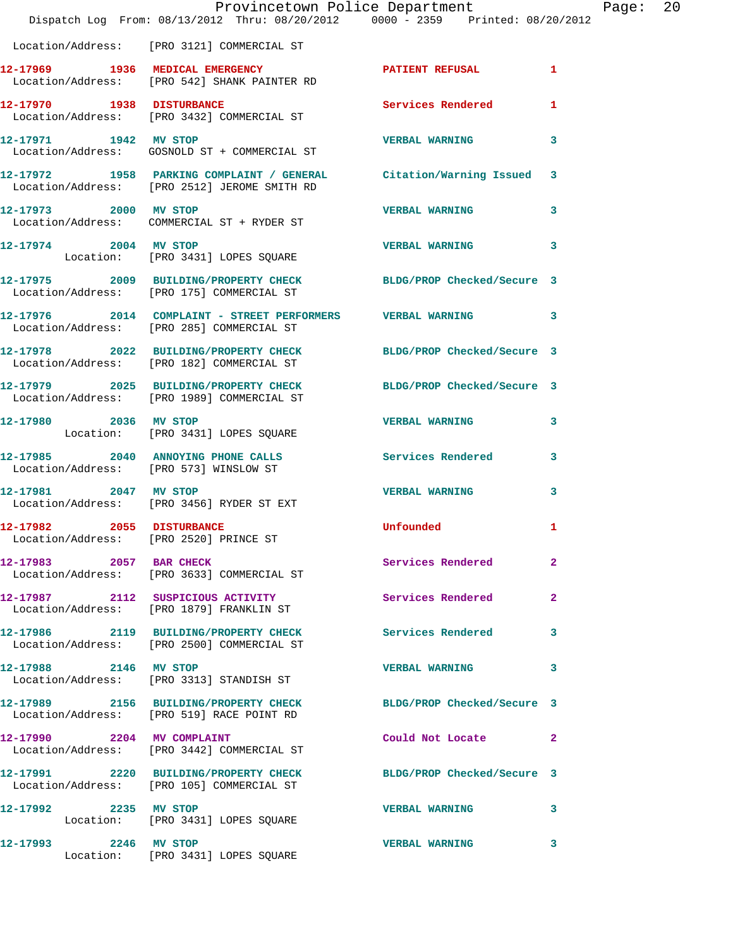|                           | Provincetown Police Department The Mage: 20<br>Dispatch Log From: 08/13/2012 Thru: 08/20/2012 0000 - 2359 Printed: 08/20/2012 |                       |              |  |
|---------------------------|-------------------------------------------------------------------------------------------------------------------------------|-----------------------|--------------|--|
|                           | Location/Address: [PRO 3121] COMMERCIAL ST                                                                                    |                       |              |  |
|                           | 12-17969 1936 MEDICAL EMERGENCY NEWSPATIENT REFUSAL<br>Location/Address: [PRO 542] SHANK PAINTER RD                           |                       | $\mathbf{1}$ |  |
|                           | 12-17970 1938 DISTURBANCE<br>Location/Address: [PRO 3432] COMMERCIAL ST                                                       | Services Rendered 1   |              |  |
|                           | 12-17971 1942 MV STOP<br>Location/Address: GOSNOLD ST + COMMERCIAL ST                                                         | <b>VERBAL WARNING</b> | 3            |  |
|                           | 12-17972 1958 PARKING COMPLAINT / GENERAL Citation/Warning Issued 3<br>Location/Address: [PRO 2512] JEROME SMITH RD           |                       |              |  |
|                           | 12-17973 2000 MV STOP<br>Location/Address: COMMERCIAL ST + RYDER ST                                                           | <b>VERBAL WARNING</b> | 3            |  |
| 12-17974 2004 MV STOP     | Location: [PRO 3431] LOPES SQUARE                                                                                             | <b>VERBAL WARNING</b> | 3            |  |
|                           | 12-17975 2009 BUILDING/PROPERTY CHECK BLDG/PROP Checked/Secure 3<br>Location/Address: [PRO 175] COMMERCIAL ST                 |                       |              |  |
|                           | 12-17976 2014 COMPLAINT - STREET PERFORMERS VERBAL WARNING<br>Location/Address: [PRO 285] COMMERCIAL ST                       |                       | 3            |  |
|                           | 12-17978 2022 BUILDING/PROPERTY CHECK BLDG/PROP Checked/Secure 3<br>Location/Address: [PRO 182] COMMERCIAL ST                 |                       |              |  |
|                           | 12-17979 2025 BUILDING/PROPERTY CHECK BLDG/PROP Checked/Secure 3<br>Location/Address: [PRO 1989] COMMERCIAL ST                |                       |              |  |
|                           | 12-17980 2036 MV STOP<br>Location: [PRO 3431] LOPES SQUARE                                                                    | VERBAL WARNING 3      |              |  |
|                           | 12-17985 2040 ANNOYING PHONE CALLS Services Rendered<br>Location/Address: [PRO 573] WINSLOW ST                                |                       | 3            |  |
| 12-17981 2047 MV STOP     | Location/Address: [PRO 3456] RYDER ST EXT                                                                                     | <b>VERBAL WARNING</b> | 3            |  |
| 12-17982 2055 DISTURBANCE | Location/Address: [PRO 2520] PRINCE ST                                                                                        | Unfounded             | 1            |  |
|                           | 12-17983 2057 BAR CHECK<br>Location/Address: [PRO 3633] COMMERCIAL ST                                                         | Services Rendered     | -2           |  |
|                           | 12-17987 2112 SUSPICIOUS ACTIVITY<br>Location/Address: [PRO 1879] FRANKLIN ST                                                 | Services Rendered     | $\mathbf{2}$ |  |
|                           | 12-17986 2119 BUILDING/PROPERTY CHECK Services Rendered 3<br>Location/Address: [PRO 2500] COMMERCIAL ST                       |                       |              |  |
| 12-17988 2146 MV STOP     | Location/Address: [PRO 3313] STANDISH ST                                                                                      | <b>VERBAL WARNING</b> | 3            |  |
|                           | 12-17989 2156 BUILDING/PROPERTY CHECK BLDG/PROP Checked/Secure 3<br>Location/Address: [PRO 519] RACE POINT RD                 |                       |              |  |
|                           | 12-17990 2204 MV COMPLAINT<br>Location/Address: [PRO 3442] COMMERCIAL ST                                                      | Could Not Locate      | 2            |  |
|                           | 12-17991 2220 BUILDING/PROPERTY CHECK BLDG/PROP Checked/Secure 3<br>Location/Address: [PRO 105] COMMERCIAL ST                 |                       |              |  |
| 12-17992 2235 MV STOP     | Location: [PRO 3431] LOPES SQUARE                                                                                             | <b>VERBAL WARNING</b> | 3            |  |
| 12-17993 2246 MV STOP     | Location: [PRO 3431] LOPES SQUARE                                                                                             | <b>VERBAL WARNING</b> | 3            |  |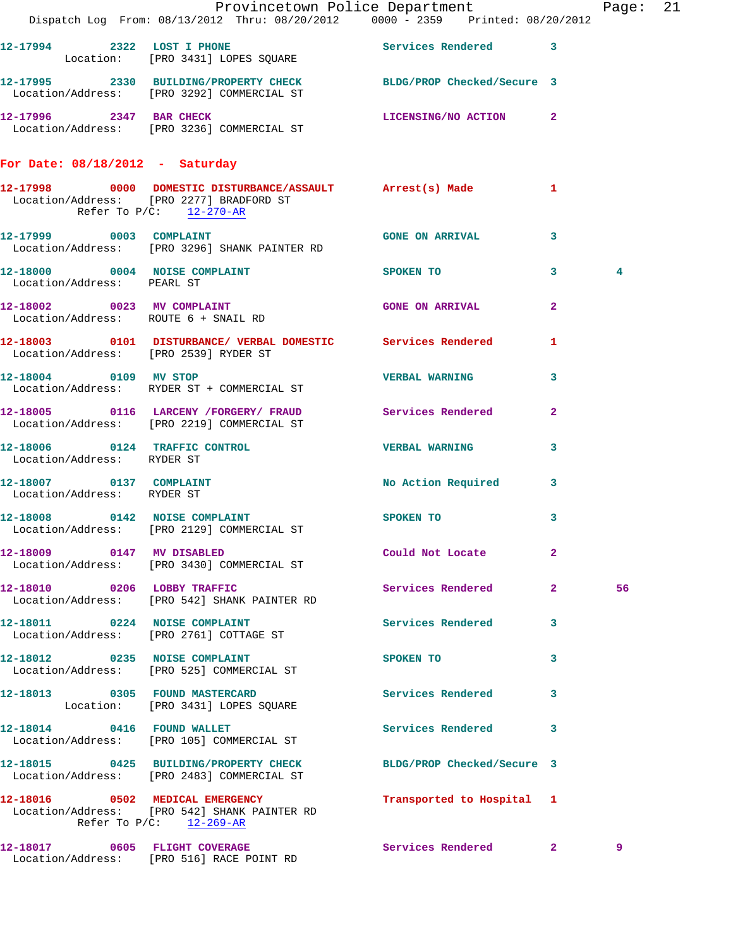|                                      | Provincetown Police Department The Page: 21                                                                    |                           |                         |    |  |
|--------------------------------------|----------------------------------------------------------------------------------------------------------------|---------------------------|-------------------------|----|--|
|                                      | 12-17994 2322 LOST I PHONE SQUARE Services Rendered 3<br>Location: [PRO 3431] LOPES SQUARE                     |                           |                         |    |  |
|                                      | 12-17995 2330 BUILDING/PROPERTY CHECK BLDG/PROP Checked/Secure 3<br>Location/Address: [PRO 3292] COMMERCIAL ST |                           |                         |    |  |
|                                      | 12-17996 2347 BAR CHECK LICENSING/NO ACTION 2<br>Location/Address: [PRO 3236] COMMERCIAL ST                    |                           |                         |    |  |
| For Date: 08/18/2012 - Saturday      |                                                                                                                |                           |                         |    |  |
| Refer To $P/C$ : 12-270-AR           | 12-17998 0000 DOMESTIC DISTURBANCE/ASSAULT Arrest(s) Made 1<br>Location/Address: [PRO 2277] BRADFORD ST        |                           |                         |    |  |
|                                      | 12-17999 0003 COMPLAINT 12-17999 0003 2012 12-17999 0003<br>Location/Address: [PRO 3296] SHANK PAINTER RD      |                           |                         |    |  |
| Location/Address: PEARL ST           | 12-18000 0004 NOISE COMPLAINT SPOKEN TO 3                                                                      |                           |                         | 4  |  |
| Location/Address: ROUTE 6 + SNAIL RD | 12-18002 0023 MV COMPLAINT                                                                                     | <b>GONE ON ARRIVAL</b>    | $\overline{2}$          |    |  |
|                                      | 12-18003 0101 DISTURBANCE/ VERBAL DOMESTIC Services Rendered 1<br>Location/Address: [PRO 2539] RYDER ST        |                           |                         |    |  |
|                                      | 12-18004 0109 MV STOP<br>Location/Address: RYDER ST + COMMERCIAL ST                                            | <b>VERBAL WARNING</b>     | $\overline{\mathbf{3}}$ |    |  |
|                                      | 12-18005 0116 LARCENY /FORGERY / FRAUD Services Rendered 2<br>Location/Address: [PRO 2219] COMMERCIAL ST       |                           |                         |    |  |
| Location/Address: RYDER ST           | 12-18006 0124 TRAFFIC CONTROL CONTROL VERBAL WARNING                                                           |                           | 3                       |    |  |
| Location/Address: RYDER ST           | 12-18007 0137 COMPLAINT<br>Location/Address: RYDER ST                                                          | No Action Required 3      |                         |    |  |
|                                      | 12-18008 0142 NOISE COMPLAINT<br>Location/Address: [PRO 2129] COMMERCIAL ST                                    | SPOKEN TO                 | $\overline{\mathbf{3}}$ |    |  |
| 12-18009 0147 MV DISABLED            | Location/Address: [PRO 3430] COMMERCIAL ST                                                                     | Could Not Locate          | $\mathbf{2}$            |    |  |
|                                      | 12-18010 0206 LOBBY TRAFFIC<br>Location/Address: [PRO 542] SHANK PAINTER RD                                    | Services Rendered 2       |                         | 56 |  |
|                                      | 12-18011 0224 NOISE COMPLAINT<br>Location/Address: [PRO 2761] COTTAGE ST                                       | Services Rendered 3       |                         |    |  |
|                                      | 12-18012 0235 NOISE COMPLAINT<br>Location/Address: [PRO 525] COMMERCIAL ST                                     | SPOKEN TO                 | 3                       |    |  |
|                                      | 12-18013 0305 FOUND MASTERCARD<br>Location: [PRO 3431] LOPES SQUARE                                            | Services Rendered 3       |                         |    |  |
|                                      | 12-18014 0416 FOUND WALLET<br>Location/Address: [PRO 105] COMMERCIAL ST                                        | Services Rendered         | 3                       |    |  |
|                                      | 12-18015 0425 BUILDING/PROPERTY CHECK BLDG/PROP Checked/Secure 3<br>Location/Address: [PRO 2483] COMMERCIAL ST |                           |                         |    |  |
|                                      | 12-18016 0502 MEDICAL EMERGENCY<br>Location/Address: [PRO 542] SHANK PAINTER RD<br>Refer To $P/C$ : 12-269-AR  | Transported to Hospital 1 |                         |    |  |
|                                      | 12-18017 0605 FLIGHT COVERAGE<br>Location/Address: [PRO 516] RACE POINT RD                                     | Services Rendered 2       |                         | 9  |  |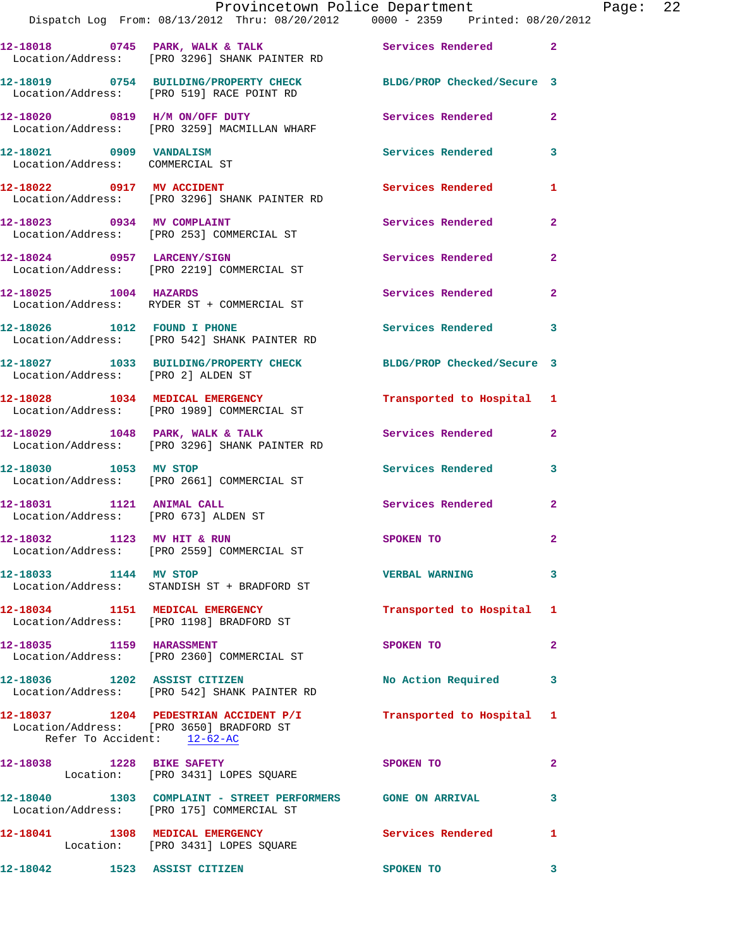|                                                                   | Provincetown Police Department<br>Dispatch Log From: 08/13/2012 Thru: 08/20/2012 0000 - 2359 Printed: 08/20/2012 |                            |                |
|-------------------------------------------------------------------|------------------------------------------------------------------------------------------------------------------|----------------------------|----------------|
|                                                                   |                                                                                                                  |                            |                |
|                                                                   | 12-18018 0745 PARK, WALK & TALK 3 Services Rendered<br>Location/Address: [PRO 3296] SHANK PAINTER RD             |                            | $\overline{2}$ |
|                                                                   | 12-18019 0754 BUILDING/PROPERTY CHECK BLDG/PROP Checked/Secure 3<br>Location/Address: [PRO 519] RACE POINT RD    |                            |                |
|                                                                   | 12-18020 0819 H/M ON/OFF DUTY<br>Location/Address: [PRO 3259] MACMILLAN WHARF                                    | <b>Services Rendered</b>   | $\overline{2}$ |
| 12-18021 0909 VANDALISM<br>Location/Address: COMMERCIAL ST        |                                                                                                                  | Services Rendered          | 3              |
|                                                                   | 12-18022 0917 MV ACCIDENT<br>Location/Address: [PRO 3296] SHANK PAINTER RD                                       | Services Rendered          | 1              |
| 12-18023 0934 MV COMPLAINT                                        | Location/Address: [PRO 253] COMMERCIAL ST                                                                        | Services Rendered          | $\mathbf{2}$   |
|                                                                   | 12-18024 0957 LARCENY/SIGN<br>Location/Address: [PRO 2219] COMMERCIAL ST                                         | Services Rendered          | $\overline{2}$ |
| 12-18025 1004 HAZARDS                                             | Location/Address: RYDER ST + COMMERCIAL ST                                                                       | Services Rendered          | $\mathbf{2}$   |
| 12-18026 1012 FOUND I PHONE                                       | Location/Address: [PRO 542] SHANK PAINTER RD                                                                     | <b>Services Rendered</b>   | 3              |
| Location/Address: [PRO 2] ALDEN ST                                | 12-18027 1033 BUILDING/PROPERTY CHECK                                                                            | BLDG/PROP Checked/Secure 3 |                |
|                                                                   | 12-18028 1034 MEDICAL EMERGENCY<br>Location/Address: [PRO 1989] COMMERCIAL ST                                    | Transported to Hospital 1  |                |
|                                                                   | 12-18029 1048 PARK, WALK & TALK<br>Location/Address: [PRO 3296] SHANK PAINTER RD                                 | <b>Services Rendered</b>   | $\mathbf{2}$   |
| 12-18030 1053 MV STOP                                             | Location/Address: [PRO 2661] COMMERCIAL ST                                                                       | Services Rendered          | 3              |
| 12-18031 1121 ANIMAL CALL<br>Location/Address: [PRO 673] ALDEN ST |                                                                                                                  | Services Rendered          | $\mathbf{2}$   |
| 12-18032 1123 MV HIT & RUN                                        | Location/Address: [PRO 2559] COMMERCIAL ST                                                                       | SPOKEN TO                  |                |
| 12-18033 1144 MV STOP                                             | Location/Address: STANDISH ST + BRADFORD ST                                                                      | <b>VERBAL WARNING</b>      | 3              |
| 12-18034 1151 MEDICAL EMERGENCY                                   | Location/Address: [PRO 1198] BRADFORD ST                                                                         | Transported to Hospital    | 1              |
|                                                                   | 12-18035 1159 HARASSMENT<br>Location/Address: [PRO 2360] COMMERCIAL ST                                           | SPOKEN TO                  | $\mathbf{2}$   |
| 12-18036 1202 ASSIST CITIZEN                                      | Location/Address: [PRO 542] SHANK PAINTER RD                                                                     | No Action Required         | 3              |
| Refer To Accident: 12-62-AC                                       | 12-18037 1204 PEDESTRIAN ACCIDENT P/I Transported to Hospital<br>Location/Address: [PRO 3650] BRADFORD ST        |                            | 1              |
| 12-18038 1228 BIKE SAFETY                                         | Location: [PRO 3431] LOPES SQUARE                                                                                | SPOKEN TO                  | $\mathbf{2}$   |
|                                                                   | 12-18040  1303  COMPLAINT - STREET PERFORMERS  GONE ON ARRIVAL<br>Location/Address: [PRO 175] COMMERCIAL ST      |                            | 3              |
|                                                                   | 12-18041 1308 MEDICAL EMERGENCY<br>Location: [PRO 3431] LOPES SQUARE                                             | <b>Services Rendered</b>   | 1              |
| 12-18042 1523 ASSIST CITIZEN                                      |                                                                                                                  | SPOKEN TO                  | 3              |

Page:  $22$ <br>012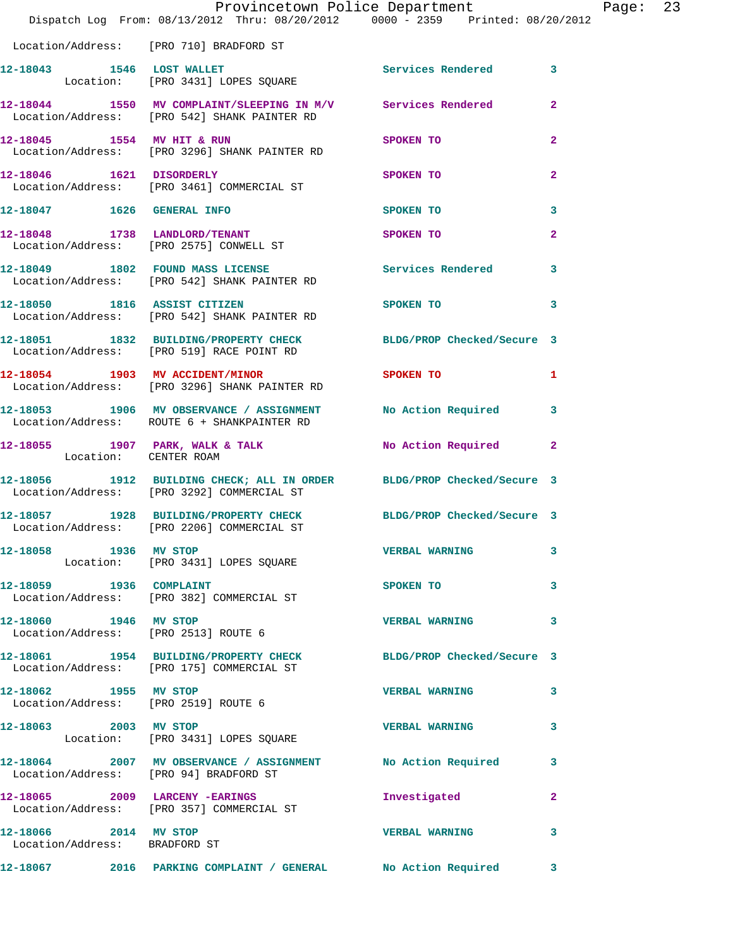|                                                        | Provincetown Police Department Page: 23<br>Dispatch Log From: 08/13/2012 Thru: 08/20/2012   0000 - 2359   Printed: 08/20/2012 |                                   |                |  |
|--------------------------------------------------------|-------------------------------------------------------------------------------------------------------------------------------|-----------------------------------|----------------|--|
|                                                        | Location/Address: [PRO 710] BRADFORD ST                                                                                       |                                   |                |  |
|                                                        | 12-18043 1546 LOST WALLET<br>Location: [PRO 3431] LOPES SQUARE                                                                | Services Rendered 3               |                |  |
|                                                        | 12-18044 1550 MV COMPLAINT/SLEEPING IN M/V Services Rendered<br>Location/Address: [PRO 542] SHANK PAINTER RD                  |                                   | $\overline{2}$ |  |
|                                                        | 12-18045 1554 MV HIT & RUN SPOKEN TO<br>Location/Address: [PRO 3296] SHANK PAINTER RD                                         |                                   | $\overline{a}$ |  |
|                                                        | 12-18046 1621 DISORDERLY<br>Location/Address: [PRO 3461] COMMERCIAL ST                                                        | SPOKEN TO                         | $\mathbf{2}$   |  |
|                                                        | 12-18047 1626 GENERAL INFO                                                                                                    | <b>SPOKEN TO</b>                  | 3              |  |
|                                                        | 12-18048 1738 LANDLORD/TENANT SPOKEN TO<br>Location/Address: [PRO 2575] CONWELL ST                                            |                                   | $\mathbf{2}$   |  |
|                                                        | 12-18049 1802 FOUND MASS LICENSE 10 Services Rendered 3<br>Location/Address: [PRO 542] SHANK PAINTER RD                       |                                   |                |  |
|                                                        | 12-18050 1816 ASSIST CITIZEN<br>Location/Address: [PRO 542] SHANK PAINTER RD                                                  | SPOKEN TO AND TO A REAL PROPERTY. | 3              |  |
|                                                        | 12-18051 1832 BUILDING/PROPERTY CHECK BLDG/PROP Checked/Secure 3<br>Location/Address: [PRO 519] RACE POINT RD                 |                                   |                |  |
|                                                        |                                                                                                                               |                                   | -1             |  |
|                                                        | 12-18053 1906 MV OBSERVANCE / ASSIGNMENT No Action Required 3<br>Location/Address: ROUTE 6 + SHANKPAINTER RD                  |                                   |                |  |
|                                                        | 12-18055 1907 PARK, WALK & TALK No Action Required 2<br>Location: CENTER ROAM                                                 |                                   |                |  |
|                                                        | 12-18056 1912 BUILDING CHECK; ALL IN ORDER BLDG/PROP Checked/Secure 3<br>Location/Address: [PRO 3292] COMMERCIAL ST           |                                   |                |  |
|                                                        | 12-18057 1928 BUILDING/PROPERTY CHECK BLDG/PROP Checked/Secure 3<br>Location/Address: [PRO 2206] COMMERCIAL ST                |                                   |                |  |
| 12-18058 1936 MV STOP                                  | Location: [PRO 3431] LOPES SQUARE                                                                                             | <b>VERBAL WARNING</b>             | 3              |  |
|                                                        | 12-18059 1936 COMPLAINT<br>Location/Address: [PRO 382] COMMERCIAL ST                                                          | SPOKEN TO                         | 3              |  |
| 12-18060 1946 MV STOP                                  | Location/Address: [PRO 2513] ROUTE 6                                                                                          | <b>VERBAL WARNING</b>             | 3              |  |
|                                                        | 12-18061 1954 BUILDING/PROPERTY CHECK BLDG/PROP Checked/Secure 3<br>Location/Address: [PRO 175] COMMERCIAL ST                 |                                   |                |  |
| 12-18062 1955 MV STOP                                  | Location/Address: [PRO 2519] ROUTE 6                                                                                          | <b>VERBAL WARNING</b>             | 3              |  |
|                                                        | 12-18063 2003 MV STOP<br>Location: [PRO 3431] LOPES SQUARE                                                                    | <b>VERBAL WARNING</b>             | 3              |  |
|                                                        | 12-18064 2007 MV OBSERVANCE / ASSIGNMENT No Action Required<br>Location/Address: [PRO 94] BRADFORD ST                         |                                   | 3              |  |
|                                                        | 12-18065 2009 LARCENY - EARINGS<br>Location/Address: [PRO 357] COMMERCIAL ST                                                  | Investigated                      | $\mathbf{2}$   |  |
| 12-18066 2014 MV STOP<br>Location/Address: BRADFORD ST |                                                                                                                               | <b>VERBAL WARNING</b>             | 3              |  |
|                                                        | 12-18067 2016 PARKING COMPLAINT / GENERAL No Action Required 3                                                                |                                   |                |  |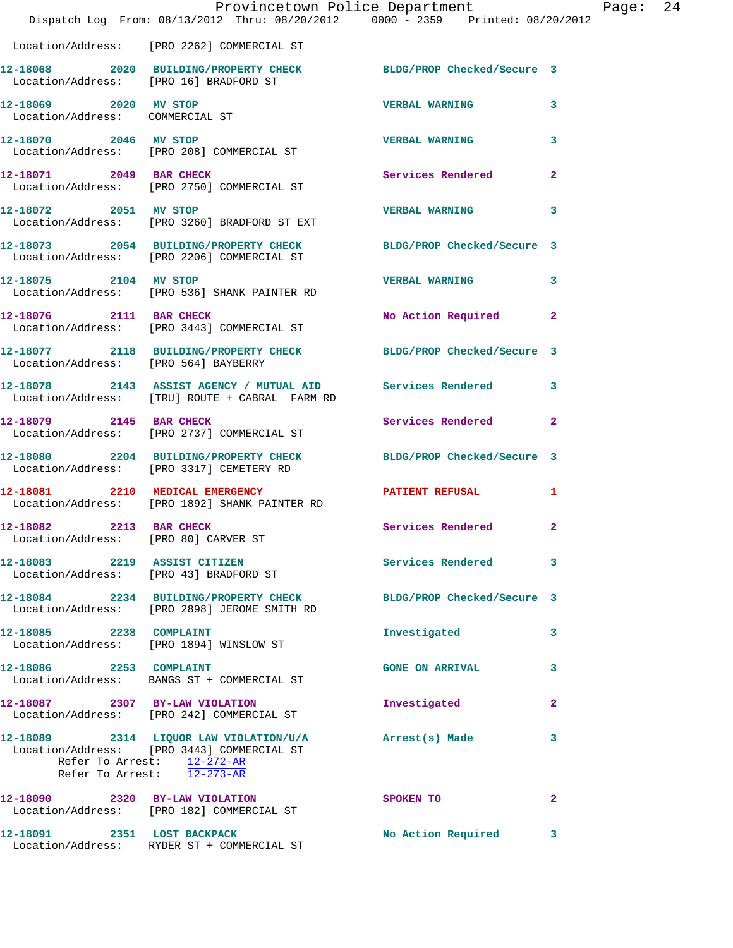|                                                                 | Provincetown Police Department<br>Dispatch Log From: 08/13/2012 Thru: 08/20/2012 0000 - 2359 Printed: 08/20/2012                                                |                            |                         |
|-----------------------------------------------------------------|-----------------------------------------------------------------------------------------------------------------------------------------------------------------|----------------------------|-------------------------|
|                                                                 | Location/Address: [PRO 2262] COMMERCIAL ST                                                                                                                      |                            |                         |
|                                                                 | 12-18068 2020 BUILDING/PROPERTY CHECK<br>Location/Address: [PRO 16] BRADFORD ST                                                                                 | BLDG/PROP Checked/Secure 3 |                         |
| 12-18069 2020 MV STOP<br>Location/Address: COMMERCIAL ST        |                                                                                                                                                                 | <b>VERBAL WARNING</b>      | 3                       |
| 12-18070 2046 MV STOP                                           | Location/Address: [PRO 208] COMMERCIAL ST                                                                                                                       | <b>VERBAL WARNING</b>      | 3                       |
| 12-18071 2049 BAR CHECK                                         | Location/Address: [PRO 2750] COMMERCIAL ST                                                                                                                      | Services Rendered          | $\overline{\mathbf{2}}$ |
| 12-18072 2051 MV STOP                                           | Location/Address: [PRO 3260] BRADFORD ST EXT                                                                                                                    | <b>VERBAL WARNING</b>      | 3                       |
|                                                                 | 12-18073 2054 BUILDING/PROPERTY CHECK<br>Location/Address: [PRO 2206] COMMERCIAL ST                                                                             | BLDG/PROP Checked/Secure 3 |                         |
| 12-18075 2104 MV STOP                                           | Location/Address: [PRO 536] SHANK PAINTER RD                                                                                                                    | <b>VERBAL WARNING</b>      | 3                       |
|                                                                 | 12-18076 2111 BAR CHECK<br>Location/Address: [PRO 3443] COMMERCIAL ST                                                                                           | No Action Required         | $\overline{\mathbf{2}}$ |
| Location/Address: [PRO 564] BAYBERRY                            | 12-18077 2118 BUILDING/PROPERTY CHECK                                                                                                                           | BLDG/PROP Checked/Secure 3 |                         |
|                                                                 | 12-18078 2143 ASSIST AGENCY / MUTUAL AID<br>Location/Address: [TRU] ROUTE + CABRAL FARM RD                                                                      | <b>Services Rendered</b>   | 3                       |
| 12-18079 2145 BAR CHECK                                         | Location/Address: [PRO 2737] COMMERCIAL ST                                                                                                                      | Services Rendered          | 2                       |
|                                                                 | 12-18080 2204 BUILDING/PROPERTY CHECK<br>Location/Address: [PRO 3317] CEMETERY RD                                                                               | BLDG/PROP Checked/Secure 3 |                         |
|                                                                 | 12-18081 2210 MEDICAL EMERGENCY<br>Location/Address: [PRO 1892] SHANK PAINTER RD                                                                                | <b>PATIENT REFUSAL</b>     | 1                       |
| 12-18082 2213 BAR CHECK<br>Location/Address: [PRO 80] CARVER ST |                                                                                                                                                                 | Services Rendered          | $\overline{2}$          |
| 12-18083 2219 ASSIST CITIZEN                                    | Location/Address: [PRO 43] BRADFORD ST                                                                                                                          | Services Rendered          | 3                       |
|                                                                 | 12-18084 2234 BUILDING/PROPERTY CHECK<br>Location/Address: [PRO 2898] JEROME SMITH RD                                                                           | BLDG/PROP Checked/Secure 3 |                         |
| 12-18085 2238 COMPLAINT                                         | Location/Address: [PRO 1894] WINSLOW ST                                                                                                                         | Investigated               | 3                       |
| 12-18086 2253 COMPLAINT                                         | Location/Address: BANGS ST + COMMERCIAL ST                                                                                                                      | <b>GONE ON ARRIVAL</b>     | 3                       |
| 12-18087 2307 BY-LAW VIOLATION                                  | Location/Address: [PRO 242] COMMERCIAL ST                                                                                                                       | Investigated               | 2                       |
|                                                                 | 12-18089 2314 LIQUOR LAW VIOLATION/U/A Arrest(s) Made<br>Location/Address: [PRO 3443] COMMERCIAL ST<br>Refer To Arrest: 12-272-AR<br>Refer To Arrest: 12-273-AR |                            | 3                       |
|                                                                 | 12-18090 2320 BY-LAW VIOLATION<br>Location/Address: [PRO 182] COMMERCIAL ST                                                                                     | SPOKEN TO                  | 2                       |
| 12-18091 2351 LOST BACKPACK                                     | Location/Address: RYDER ST + COMMERCIAL ST                                                                                                                      | No Action Required         | 3                       |

Page: 24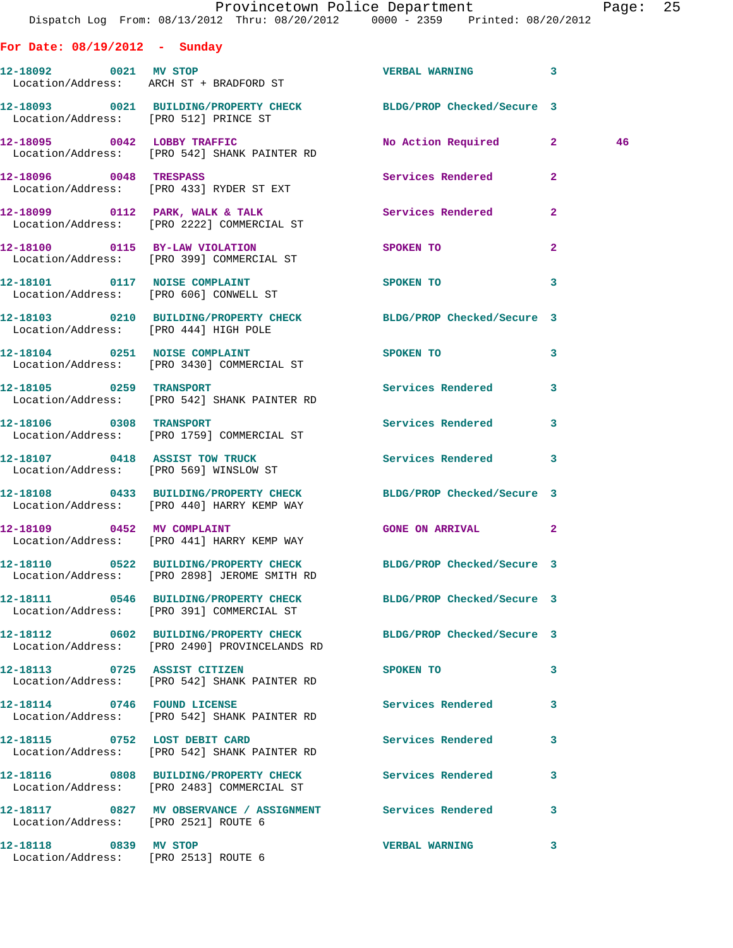|                                       | Provincetown Police Department The Page: 25                                                                      |                                |                         |    |  |
|---------------------------------------|------------------------------------------------------------------------------------------------------------------|--------------------------------|-------------------------|----|--|
|                                       | Dispatch Log From: 08/13/2012 Thru: 08/20/2012 0000 - 2359 Printed: 08/20/2012                                   |                                |                         |    |  |
| For Date: $08/19/2012 - Sunday$       |                                                                                                                  |                                |                         |    |  |
|                                       | 12-18092 0021 MV STOP<br>Location/Address: ARCH ST + BRADFORD ST                                                 | VERBAL WARNING 3               |                         |    |  |
| Location/Address: [PRO 512] PRINCE ST | 12-18093 0021 BUILDING/PROPERTY CHECK BLDG/PROP Checked/Secure 3                                                 |                                |                         |    |  |
|                                       | 12-18095 0042 LOBBY TRAFFIC<br>Location/Address: [PRO 542] SHANK PAINTER RD                                      | No Action Required 2           |                         | 46 |  |
|                                       | 12-18096 0048 TRESPASS 3 Services Rendered 2<br>Location/Address: [PRO 433] RYDER ST EXT                         |                                |                         |    |  |
|                                       | 12-18099 0112 PARK, WALK & TALK Services Rendered 2<br>Location/Address: [PRO 2222] COMMERCIAL ST                |                                |                         |    |  |
|                                       | 12-18100 0115 BY-LAW VIOLATION SPOKEN TO<br>Location/Address: [PRO 399] COMMERCIAL ST                            |                                | $\mathbf{2}$            |    |  |
|                                       | 12-18101 0117 NOISE COMPLAINT<br>Location/Address: [PRO 606] CONWELL ST                                          | SPOKEN TO 3                    |                         |    |  |
|                                       | 12-18103 0210 BUILDING/PROPERTY CHECK BLDG/PROP Checked/Secure 3<br>Location/Address: [PRO 444] HIGH POLE        |                                |                         |    |  |
|                                       | 12-18104 0251 NOISE COMPLAINT<br>Location/Address: [PRO 3430] COMMERCIAL ST                                      | SPOKEN TO                      | $\mathbf{3}$            |    |  |
|                                       | 12-18105               0259    TRANSPORT<br>Location/Address:      [PRO 542] SHANK PAINTER RD                    | Services Rendered 3            |                         |    |  |
| 12-18106 0308 TRANSPORT               | Location/Address: [PRO 1759] COMMERCIAL ST                                                                       | Services Rendered              | $\mathbf{3}$            |    |  |
|                                       | 12-18107 0418 ASSIST TOW TRUCK<br>Location/Address: [PRO 569] WINSLOW ST                                         | Services Rendered 3            |                         |    |  |
|                                       | 12-18108 0433 BUILDING/PROPERTY CHECK BLDG/PROP Checked/Secure 3<br>Location/Address: [PRO 440] HARRY KEMP WAY   |                                |                         |    |  |
| 12-18109 0452 MV COMPLAINT            | Location/Address: [PRO 441] HARRY KEMP WAY                                                                       | <b>GONE ON ARRIVAL</b>         | $\overline{\mathbf{2}}$ |    |  |
|                                       | 12-18110 0522 BUILDING/PROPERTY CHECK BLDG/PROP Checked/Secure 3<br>Location/Address: [PRO 2898] JEROME SMITH RD |                                |                         |    |  |
|                                       | 12-18111 0546 BUILDING/PROPERTY CHECK<br>Location/Address: [PRO 391] COMMERCIAL ST                               | BLDG/PROP Checked/Secure 3     |                         |    |  |
|                                       | 12-18112 0602 BUILDING/PROPERTY CHECK<br>Location/Address: [PRO 2490] PROVINCELANDS RD                           | BLDG/PROP Checked/Secure 3     |                         |    |  |
|                                       | 12-18113 0725 ASSIST CITIZEN<br>Location/Address: [PRO 542] SHANK PAINTER RD                                     | SPOKEN TO                      | 3                       |    |  |
| 12-18114 0746 FOUND LICENSE           | Location/Address: [PRO 542] SHANK PAINTER RD                                                                     | Services Rendered              | 3                       |    |  |
|                                       | 12-18115 0752 LOST DEBIT CARD<br>Location/Address: [PRO 542] SHANK PAINTER RD                                    | Services Rendered              | 3                       |    |  |
|                                       | 12-18116 0808 BUILDING/PROPERTY CHECK                                                                            | Services Rendered<br>$\sim$ 3. |                         |    |  |

 Location/Address: [PRO 2483] COMMERCIAL ST **12-18117 0827 MV OBSERVANCE / ASSIGNMENT Services Rendered 3**  Location/Address: [PRO 2521] ROUTE 6

**12-18118 0839 MV STOP VERBAL WARNING 3**  Location/Address: [PRO 2513] ROUTE 6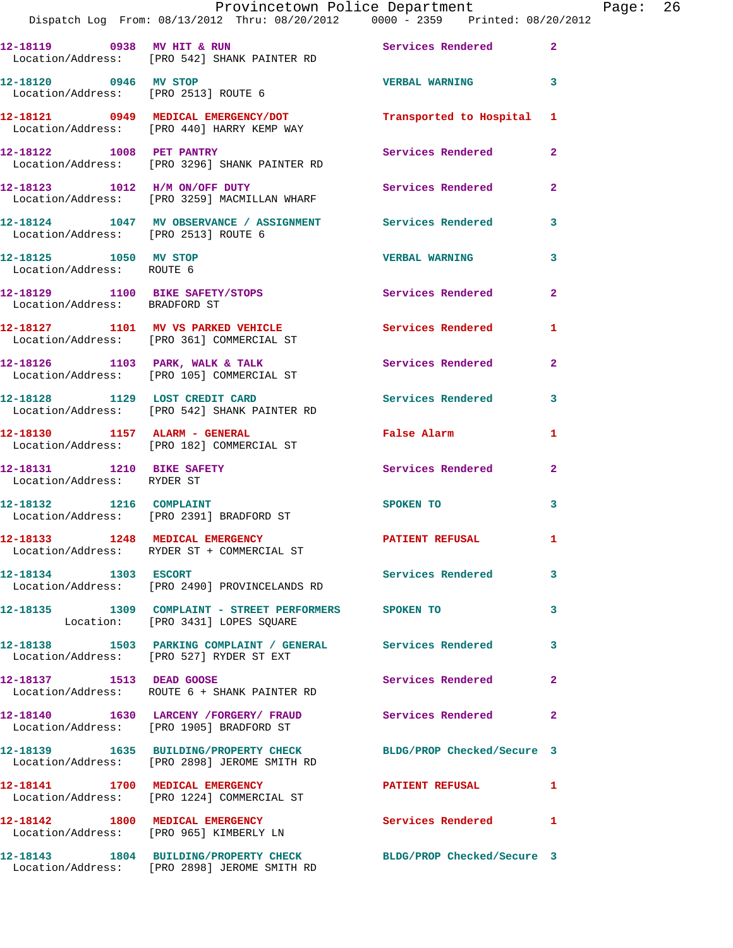|                                                    | Provincetown Police Department The Page: 26                                                                      |                              |                |  |
|----------------------------------------------------|------------------------------------------------------------------------------------------------------------------|------------------------------|----------------|--|
|                                                    | 12-18119 0938 MV HIT & RUN Services Rendered 2<br>Location/Address: [PRO 542] SHANK PAINTER RD                   |                              |                |  |
| 12-18120 0946 MV STOP                              | Location/Address: [PRO 2513] ROUTE 6                                                                             | <b>VERBAL WARNING 3</b>      |                |  |
|                                                    | 12-18121   0949   MEDICAL EMERGENCY/DOT   Transported to Hospital 1   Location/Address: [PRO 440] HARRY KEMP WAY |                              |                |  |
|                                                    | 12-18122 1008 PET PANTRY<br>Location/Address: [PRO 3296] SHANK PAINTER RD                                        | Services Rendered            | $\mathbf{2}$   |  |
|                                                    | 12-18123 1012 H/M ON/OFF DUTY<br>Location/Address: [PRO 3259] MACMILLAN WHARF                                    | Services Rendered 2          |                |  |
| Location/Address: [PRO 2513] ROUTE 6               | 12-18124 1047 MV OBSERVANCE / ASSIGNMENT Services Rendered                                                       |                              | 3              |  |
| 12-18125 1050 MV STOP<br>Location/Address: ROUTE 6 |                                                                                                                  | <b>VERBAL WARNING</b>        | 3              |  |
| Location/Address: BRADFORD ST                      | 12-18129 1100 BIKE SAFETY/STOPS Services Rendered                                                                |                              | $\overline{2}$ |  |
|                                                    | 12-18127 1101 MV VS PARKED VEHICLE Services Rendered 1<br>Location/Address: [PRO 361] COMMERCIAL ST              |                              |                |  |
|                                                    | 12-18126 1103 PARK, WALK & TALK Services Rendered<br>Location/Address: [PRO 105] COMMERCIAL ST                   |                              | $\mathbf{2}$   |  |
|                                                    | 12-18128 1129 LOST CREDIT CARD Services Rendered 3<br>Location/Address: [PRO 542] SHANK PAINTER RD               |                              |                |  |
|                                                    | 12-18130 1157 ALARM - GENERAL<br>Location/Address: [PRO 182] COMMERCIAL ST                                       | <b>Example 2</b> False Alarm | 1              |  |
| Location/Address: RYDER ST                         | 12-18131 1210 BIKE SAFETY                                                                                        | Services Rendered            | $\mathbf{2}$   |  |
|                                                    | 12-18132 1216 COMPLAINT<br>Location/Address: [PRO 2391] BRADFORD ST                                              | SPOKEN TO                    | 3              |  |
|                                                    | 12-18133 1248 MEDICAL EMERGENCY<br>Location/Address: RYDER ST + COMMERCIAL ST                                    | <b>PATIENT REFUSAL</b>       |                |  |
| 12-18134 1303 ESCORT                               | Location/Address: [PRO 2490] PROVINCELANDS RD                                                                    | Services Rendered            | 3              |  |
|                                                    | 12-18135 1309 COMPLAINT - STREET PERFORMERS SPOKEN TO<br>Location: [PRO 3431] LOPES SQUARE                       |                              | 3              |  |
|                                                    | 12-18138 1503 PARKING COMPLAINT / GENERAL Services Rendered<br>Location/Address: [PRO 527] RYDER ST EXT          |                              | 3              |  |
| 12-18137 1513 DEAD GOOSE                           | Location/Address: ROUTE 6 + SHANK PAINTER RD                                                                     | Services Rendered            | $\mathbf{2}$   |  |
|                                                    | 12-18140 1630 LARCENY /FORGERY/ FRAUD Services Rendered<br>Location/Address: [PRO 1905] BRADFORD ST              |                              | 2              |  |
|                                                    | 12-18139 1635 BUILDING/PROPERTY CHECK BLDG/PROP Checked/Secure 3<br>Location/Address: [PRO 2898] JEROME SMITH RD |                              |                |  |
|                                                    | 12-18141 1700 MEDICAL EMERGENCY 1999 PATIENT REFUSAL<br>Location/Address: [PRO 1224] COMMERCIAL ST               |                              | 1              |  |
|                                                    | 12-18142 1800 MEDICAL EMERGENCY<br>Location/Address: [PRO 965] KIMBERLY LN                                       | Services Rendered 1          |                |  |
|                                                    | 12-18143 1804 BUILDING/PROPERTY CHECK BLDG/PROP Checked/Secure 3<br>Location/Address: [PRO 2898] JEROME SMITH RD |                              |                |  |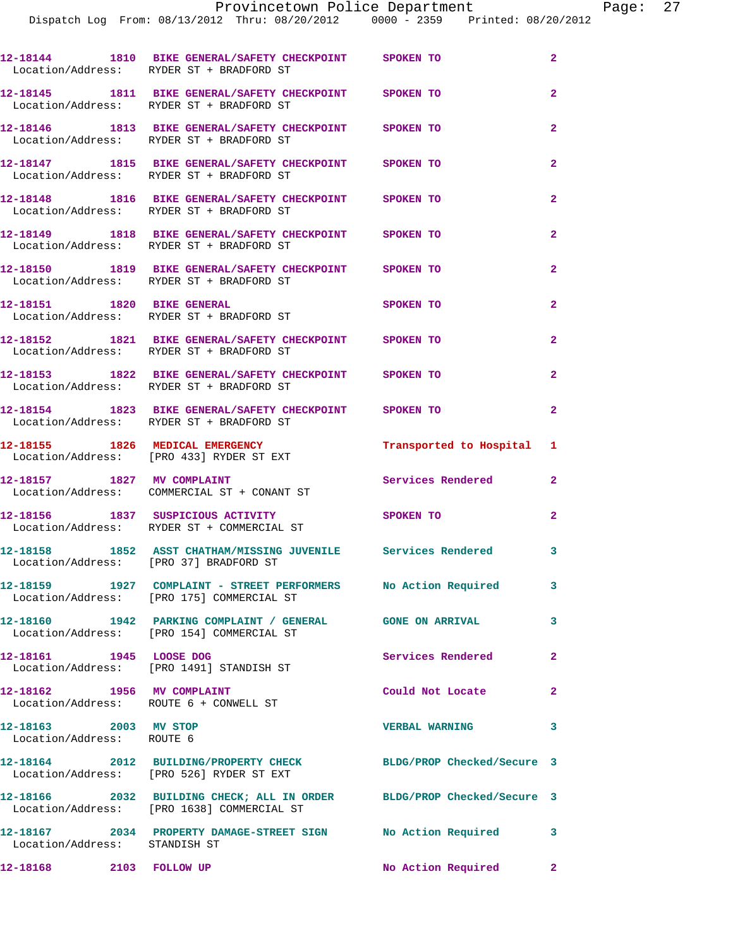|                                                    |                                                                                                                     | Provincetown Police Department Page: 27 |                |  |
|----------------------------------------------------|---------------------------------------------------------------------------------------------------------------------|-----------------------------------------|----------------|--|
|                                                    | Dispatch Log From: 08/13/2012 Thru: 08/20/2012 0000 - 2359 Printed: 08/20/2012                                      |                                         |                |  |
|                                                    | 12-18144 1810 BIKE GENERAL/SAFETY CHECKPOINT SPOKEN TO<br>Location/Address: RYDER ST + BRADFORD ST                  |                                         | $\mathbf{2}$   |  |
|                                                    | 12-18145 1811 BIKE GENERAL/SAFETY CHECKPOINT SPOKEN TO<br>Location/Address: RYDER ST + BRADFORD ST                  |                                         | $\overline{2}$ |  |
|                                                    | 12-18146 1813 BIKE GENERAL/SAFETY CHECKPOINT SPOKEN TO<br>Location/Address: RYDER ST + BRADFORD ST                  |                                         | $\overline{2}$ |  |
|                                                    | 12-18147 1815 BIKE GENERAL/SAFETY CHECKPOINT SPOKEN TO<br>Location/Address: RYDER ST + BRADFORD ST                  |                                         | $\overline{2}$ |  |
|                                                    | 12-18148 1816 BIKE GENERAL/SAFETY CHECKPOINT SPOKEN TO<br>Location/Address: RYDER ST + BRADFORD ST                  |                                         | $\overline{2}$ |  |
|                                                    | 12-18149 1818 BIKE GENERAL/SAFETY CHECKPOINT SPOKEN TO<br>Location/Address: RYDER ST + BRADFORD ST                  |                                         | $\overline{2}$ |  |
|                                                    | 12-18150 1819 BIKE GENERAL/SAFETY CHECKPOINT SPOKEN TO<br>Location/Address: RYDER ST + BRADFORD ST                  |                                         | $\overline{2}$ |  |
|                                                    | 12-18151 1820 BIKE GENERAL<br>Location/Address: RYDER ST + BRADFORD ST                                              | <b>SPOKEN TO</b>                        | $\overline{2}$ |  |
|                                                    | 12-18152 1821 BIKE GENERAL/SAFETY CHECKPOINT SPOKEN TO<br>Location/Address: RYDER ST + BRADFORD ST                  |                                         | $\overline{2}$ |  |
|                                                    | 12-18153 1822 BIKE GENERAL/SAFETY CHECKPOINT SPOKEN TO<br>Location/Address: RYDER ST + BRADFORD ST                  |                                         | $\overline{2}$ |  |
|                                                    | 12-18154 1823 BIKE GENERAL/SAFETY CHECKPOINT SPOKEN TO<br>Location/Address: RYDER ST + BRADFORD ST                  |                                         | $\overline{2}$ |  |
|                                                    | 12-18155 1826 MEDICAL EMERGENCY Transported to Hospital 1<br>Location/Address: [PRO 433] RYDER ST EXT               |                                         |                |  |
|                                                    | 12-18157 1827 MV COMPLAINT<br>Location/Address: COMMERCIAL ST + CONANT ST                                           | Services Rendered 2                     |                |  |
|                                                    | 12-18156 1837 SUSPICIOUS ACTIVITY SPOKEN TO<br>Location/Address: RYDER ST + COMMERCIAL ST                           |                                         | $\mathbf{2}$   |  |
| Location/Address: [PRO 37] BRADFORD ST             | 12-18158 1852 ASST CHATHAM/MISSING JUVENILE Services Rendered 3                                                     |                                         |                |  |
|                                                    | 12-18159 1927 COMPLAINT - STREET PERFORMERS<br>Location/Address: [PRO 175] COMMERCIAL ST                            | No Action Required 3                    |                |  |
|                                                    | 12-18160 1942 PARKING COMPLAINT / GENERAL GONE ON ARRIVAL 3<br>Location/Address: [PRO 154] COMMERCIAL ST            |                                         |                |  |
|                                                    | 12-18161 1945 LOOSE DOG<br>Location/Address: [PRO 1491] STANDISH ST                                                 | Services Rendered                       | $\mathbf{2}$   |  |
| 12-18162 1956 MV COMPLAINT                         | Location/Address: ROUTE 6 + CONWELL ST                                                                              | Could Not Locate                        | $\mathbf{2}$   |  |
| 12-18163 2003 MV STOP<br>Location/Address: ROUTE 6 |                                                                                                                     | <b>VERBAL WARNING</b>                   | $\mathbf{3}$   |  |
|                                                    | 12-18164 2012 BUILDING/PROPERTY CHECK BLDG/PROP Checked/Secure 3<br>Location/Address: [PRO 526] RYDER ST EXT        |                                         |                |  |
|                                                    | 12-18166 2032 BUILDING CHECK; ALL IN ORDER BLDG/PROP Checked/Secure 3<br>Location/Address: [PRO 1638] COMMERCIAL ST |                                         |                |  |
| Location/Address: STANDISH ST                      | 12-18167 2034 PROPERTY DAMAGE-STREET SIGN NO Action Required 3                                                      |                                         |                |  |
| 12-18168 2103 FOLLOW UP                            |                                                                                                                     | No Action Required 2                    |                |  |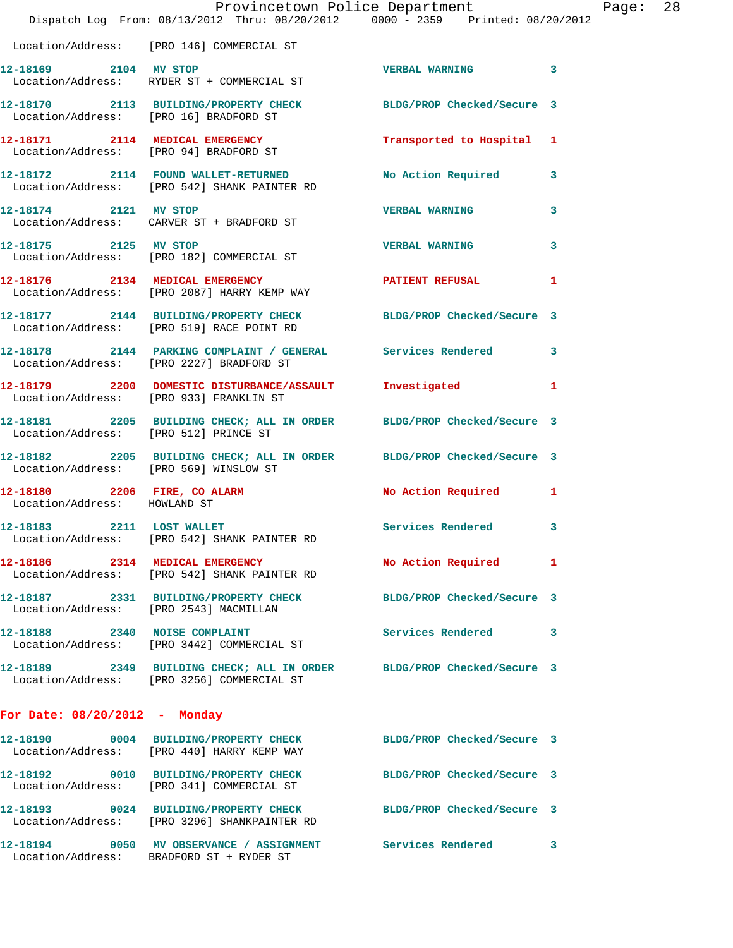|                                       | Provincetown Police Department<br>Dispatch Log From: 08/13/2012 Thru: 08/20/2012 0000 - 2359 Printed: 08/20/2012    |                            |   |
|---------------------------------------|---------------------------------------------------------------------------------------------------------------------|----------------------------|---|
|                                       | Location/Address: [PRO 146] COMMERCIAL ST                                                                           |                            |   |
| 12-18169 2104 MV STOP                 | Location/Address: RYDER ST + COMMERCIAL ST                                                                          | <b>VERBAL WARNING</b>      | 3 |
|                                       | 12-18170 2113 BUILDING/PROPERTY CHECK BLDG/PROP Checked/Secure 3<br>Location/Address: [PRO 16] BRADFORD ST          |                            |   |
|                                       | 12-18171 2114 MEDICAL EMERGENCY<br>Location/Address: [PRO 94] BRADFORD ST                                           | Transported to Hospital    | 1 |
|                                       | 12-18172 2114 FOUND WALLET-RETURNED<br>Location/Address: [PRO 542] SHANK PAINTER RD                                 | <b>No Action Required</b>  | 3 |
| 12-18174 2121 MV STOP                 | Location/Address: CARVER ST + BRADFORD ST                                                                           | <b>VERBAL WARNING</b>      | 3 |
|                                       | 12-18175 2125 MV STOP<br>Location/Address: [PRO 182] COMMERCIAL ST                                                  | <b>VERBAL WARNING</b>      | 3 |
|                                       | 12-18176 2134 MEDICAL EMERGENCY<br>Location/Address: [PRO 2087] HARRY KEMP WAY                                      | <b>PATIENT REFUSAL</b>     | 1 |
|                                       | 12-18177 2144 BUILDING/PROPERTY CHECK<br>Location/Address: [PRO 519] RACE POINT RD                                  | BLDG/PROP Checked/Secure 3 |   |
|                                       | 12-18178 2144 PARKING COMPLAINT / GENERAL Services Rendered<br>Location/Address: [PRO 2227] BRADFORD ST             |                            | 3 |
|                                       | 12-18179 2200 DOMESTIC DISTURBANCE/ASSAULT Investigated<br>Location/Address: [PRO 933] FRANKLIN ST                  |                            | 1 |
| Location/Address: [PRO 512] PRINCE ST | 12-18181 2205 BUILDING CHECK; ALL IN ORDER BLDG/PROP Checked/Secure 3                                               |                            |   |
|                                       | 12-18182 2205 BUILDING CHECK; ALL IN ORDER BLDG/PROP Checked/Secure 3<br>Location/Address: [PRO 569] WINSLOW ST     |                            |   |
| Location/Address: HOWLAND ST          | 12-18180 2206 FIRE, CO ALARM                                                                                        | No Action Required         | 1 |
| 12-18183                              | 2211 LOST WALLET<br>Location/Address: [PRO 542] SHANK PAINTER RD                                                    | Services Rendered          | 3 |
|                                       | 12-18186 2314 MEDICAL EMERGENCY<br>Location/Address: [PRO 542] SHANK PAINTER RD                                     | No Action Required         | 1 |
|                                       | 12-18187 2331 BUILDING/PROPERTY CHECK<br>Location/Address: [PRO 2543] MACMILLAN                                     | BLDG/PROP Checked/Secure 3 |   |
|                                       | 12-18188 2340 NOISE COMPLAINT<br>Location/Address: [PRO 3442] COMMERCIAL ST                                         | Services Rendered          | 3 |
|                                       | 12-18189 2349 BUILDING CHECK; ALL IN ORDER BLDG/PROP Checked/Secure 3<br>Location/Address: [PRO 3256] COMMERCIAL ST |                            |   |
| For Date: $08/20/2012$ - Monday       |                                                                                                                     |                            |   |
|                                       | 12-18190 0004 BUILDING/PROPERTY CHECK<br>Location/Address: [PRO 440] HARRY KEMP WAY                                 | BLDG/PROP Checked/Secure 3 |   |
|                                       | 12-18192 0010 BUILDING/PROPERTY CHECK<br>Location/Address: [PRO 341] COMMERCIAL ST                                  | BLDG/PROP Checked/Secure 3 |   |
|                                       | 12-18193 0024 BUILDING/PROPERTY CHECK<br>Location/Address: [PRO 3296] SHANKPAINTER RD                               | BLDG/PROP Checked/Secure 3 |   |
|                                       | 12-18194 0050 MV OBSERVANCE / ASSIGNMENT Services Rendered<br>Location/Address: BRADFORD ST + RYDER ST              |                            | 3 |

Page: 28<br>D12